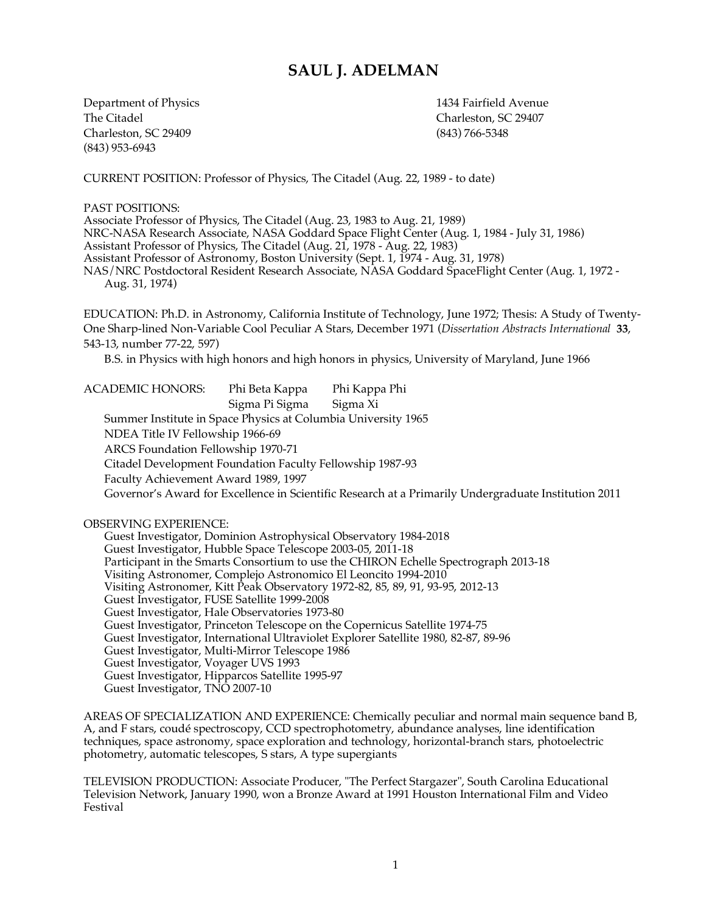# **SAUL J. ADELMAN**

Department of Physics 1434 Fairfield Avenue The Citadel **Charleston, SC 29407** Charleston, SC 29409 (843) 766-5348 (843) 953-6943

CURRENT POSITION: Professor of Physics, The Citadel (Aug. 22, 1989 - to date)

PAST POSITIONS: Associate Professor of Physics, The Citadel (Aug. 23, 1983 to Aug. 21, 1989) NRC-NASA Research Associate, NASA Goddard Space Flight Center (Aug. 1, 1984 - July 31, 1986) Assistant Professor of Physics, The Citadel (Aug. 21, 1978 - Aug. 22, 1983) Assistant Professor of Astronomy, Boston University (Sept. 1, 1974 - Aug. 31, 1978) NAS/NRC Postdoctoral Resident Research Associate, NASA Goddard SpaceFlight Center (Aug. 1, 1972 - Aug. 31, 1974) EDUCATION: Ph.D. in Astronomy, California Institute of Technology, June 1972; Thesis: A Study of Twenty-One Sharp-lined Non-Variable Cool Peculiar A Stars, December 1971 (*Dissertation Abstracts International* **33**, 543-13, number 77-22, 597) B.S. in Physics with high honors and high honors in physics, University of Maryland, June 1966 ACADEMIC HONORS: Phi Beta Kappa Phi Kappa Phi Sigma Pi Sigma Sigma Xi Summer Institute in Space Physics at Columbia University 1965 NDEA Title IV Fellowship 1966-69 ARCS Foundation Fellowship 1970-71 Citadel Development Foundation Faculty Fellowship 1987-93 Faculty Achievement Award 1989, 1997 Governor's Award for Excellence in Scientific Research at a Primarily Undergraduate Institution 2011 OBSERVING EXPERIENCE: Guest Investigator, Dominion Astrophysical Observatory 1984-2018 Guest Investigator, Hubble Space Telescope 2003-05, 2011-18 Participant in the Smarts Consortium to use the CHIRON Echelle Spectrograph 2013-18 Visiting Astronomer, Complejo Astronomico El Leoncito 1994-2010 Visiting Astronomer, Kitt Peak Observatory 1972-82, 85, 89, 91, 93-95, 2012-13 Guest Investigator, FUSE Satellite 1999-2008 Guest Investigator, Hale Observatories 1973-80 Guest Investigator, Princeton Telescope on the Copernicus Satellite 1974-75 Guest Investigator, International Ultraviolet Explorer Satellite 1980, 82-87, 89-96 Guest Investigator, Multi-Mirror Telescope 1986

Guest Investigator, Voyager UVS 1993 Guest Investigator, Hipparcos Satellite 1995-97 Guest Investigator, TNO 2007-10

AREAS OF SPECIALIZATION AND EXPERIENCE: Chemically peculiar and normal main sequence band B, A, and F stars, coudé spectroscopy, CCD spectrophotometry, abundance analyses, line identification techniques, space astronomy, space exploration and technology, horizontal-branch stars, photoelectric photometry, automatic telescopes, S stars, A type supergiants

TELEVISION PRODUCTION: Associate Producer, "The Perfect Stargazer", South Carolina Educational Television Network, January 1990, won a Bronze Award at 1991 Houston International Film and Video Festival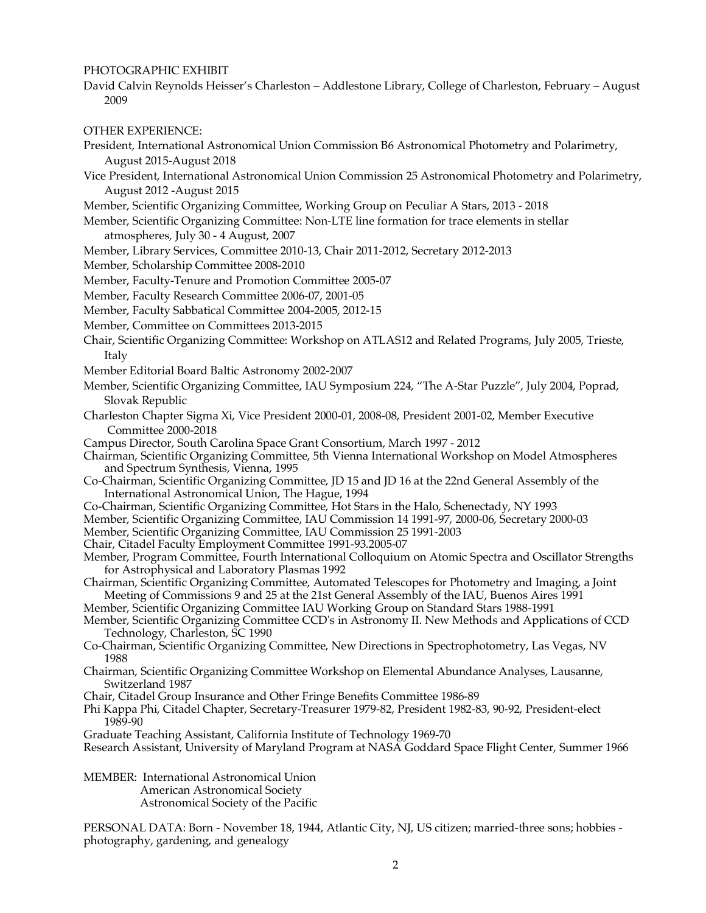# PHOTOGRAPHIC EXHIBIT

David Calvin Reynolds Heisser's Charleston – Addlestone Library, College of Charleston, February – August 2009

## OTHER EXPERIENCE:

- President, International Astronomical Union Commission B6 Astronomical Photometry and Polarimetry, August 2015-August 2018
- Vice President, International Astronomical Union Commission 25 Astronomical Photometry and Polarimetry, August 2012 -August 2015
- Member, Scientific Organizing Committee, Working Group on Peculiar A Stars, 2013 2018
- Member, Scientific Organizing Committee: Non-LTE line formation for trace elements in stellar atmospheres, July 30 - 4 August, 2007
- Member, Library Services, Committee 2010-13, Chair 2011-2012, Secretary 2012-2013
- Member, Scholarship Committee 2008-2010
- Member, Faculty-Tenure and Promotion Committee 2005-07
- Member, Faculty Research Committee 2006-07, 2001-05
- Member, Faculty Sabbatical Committee 2004-2005, 2012-15
- Member, Committee on Committees 2013-2015
- Chair, Scientific Organizing Committee: Workshop on ATLAS12 and Related Programs, July 2005, Trieste, Italy
- Member Editorial Board Baltic Astronomy 2002-2007
- Member, Scientific Organizing Committee, IAU Symposium 224, "The A-Star Puzzle", July 2004, Poprad, Slovak Republic
- Charleston Chapter Sigma Xi, Vice President 2000-01, 2008-08, President 2001-02, Member Executive Committee 2000-2018
- Campus Director, South Carolina Space Grant Consortium, March 1997 2012
- Chairman, Scientific Organizing Committee, 5th Vienna International Workshop on Model Atmospheres and Spectrum Synthesis, Vienna, 1995
- Co-Chairman, Scientific Organizing Committee, JD 15 and JD 16 at the 22nd General Assembly of the International Astronomical Union, The Hague, 1994
- Co-Chairman, Scientific Organizing Committee, Hot Stars in the Halo, Schenectady, NY 1993
- Member, Scientific Organizing Committee, IAU Commission 14 1991-97, 2000-06, Secretary 2000-03
- Member, Scientific Organizing Committee, IAU Commission 25 1991-2003
- Chair, Citadel Faculty Employment Committee 1991-93.2005-07
- Member, Program Committee, Fourth International Colloquium on Atomic Spectra and Oscillator Strengths for Astrophysical and Laboratory Plasmas 1992
- Chairman, Scientific Organizing Committee, Automated Telescopes for Photometry and Imaging, a Joint Meeting of Commissions 9 and 25 at the 21st General Assembly of the IAU, Buenos Aires 1991
- Member, Scientific Organizing Committee IAU Working Group on Standard Stars 1988-1991
- Member, Scientific Organizing Committee CCD's in Astronomy II. New Methods and Applications of CCD Technology, Charleston, SC 1990
- Co-Chairman, Scientific Organizing Committee, New Directions in Spectrophotometry, Las Vegas, NV 1988
- Chairman, Scientific Organizing Committee Workshop on Elemental Abundance Analyses, Lausanne, Switzerland 1987
- Chair, Citadel Group Insurance and Other Fringe Benefits Committee 1986-89
- Phi Kappa Phi, Citadel Chapter, Secretary-Treasurer 1979-82, President 1982-83, 90-92, President-elect 1989-90
- Graduate Teaching Assistant, California Institute of Technology 1969-70
- Research Assistant, University of Maryland Program at NASA Goddard Space Flight Center, Summer 1966

MEMBER: International Astronomical Union American Astronomical Society Astronomical Society of the Pacific

PERSONAL DATA: Born - November 18, 1944, Atlantic City, NJ, US citizen; married-three sons; hobbies photography, gardening, and genealogy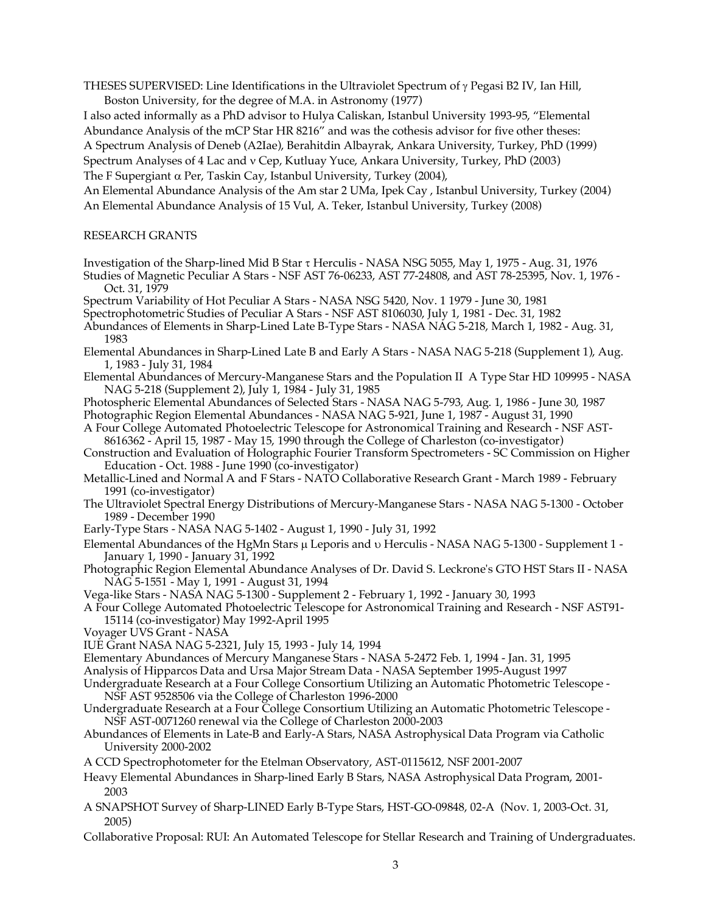THESES SUPERVISED: Line Identifications in the Ultraviolet Spectrum of  $\gamma$  Pegasi B2 IV, Ian Hill, Boston University, for the degree of M.A. in Astronomy (1977)

I also acted informally as a PhD advisor to Hulya Caliskan, Istanbul University 1993-95, "Elemental Abundance Analysis of the mCP Star HR 8216" and was the cothesis advisor for five other theses: A Spectrum Analysis of Deneb (A2Iae), Berahitdin Albayrak, Ankara University, Turkey, PhD (1999) Spectrum Analyses of 4 Lac and v Cep, Kutluay Yuce, Ankara University, Turkey, PhD (2003)

The F Supergiant  $\alpha$  Per, Taskin Cay, Istanbul University, Turkey (2004),

An Elemental Abundance Analysis of the Am star 2 UMa, Ipek Cay , Istanbul University, Turkey (2004) An Elemental Abundance Analysis of 15 Vul, A. Teker, Istanbul University, Turkey (2008)

# RESEARCH GRANTS

Investigation of the Sharp-lined Mid B Star t Herculis - NASA NSG 5055, May 1, 1975 - Aug. 31, 1976

Studies of Magnetic Peculiar A Stars - NSF AST 76-06233, AST 77-24808, and AST 78-25395, Nov. 1, 1976 - Oct. 31, 1979

Spectrum Variability of Hot Peculiar A Stars - NASA NSG 5420, Nov. 1 1979 - June 30, 1981

Spectrophotometric Studies of Peculiar A Stars - NSF AST 8106030, July 1, 1981 - Dec. 31, 1982

- Abundances of Elements in Sharp-Lined Late B-Type Stars NASA NAG 5-218, March 1, 1982 Aug. 31, 1983
- Elemental Abundances in Sharp-Lined Late B and Early A Stars NASA NAG 5-218 (Supplement 1), Aug. 1, 1983 - July 31, 1984
- Elemental Abundances of Mercury-Manganese Stars and the Population II A Type Star HD 109995 NASA NAG 5-218 (Supplement 2), July 1, 1984 - July 31, 1985
- Photospheric Elemental Abundances of Selected Stars NASA NAG 5-793, Aug. 1, 1986 June 30, 1987 Photographic Region Elemental Abundances - NASA NAG 5-921, June 1, 1987 - August 31, 1990
- A Four College Automated Photoelectric Telescope for Astronomical Training and Research NSF AST-8616362 - April 15, 1987 - May 15, 1990 through the College of Charleston (co-investigator)
- Construction and Evaluation of Holographic Fourier Transform Spectrometers SC Commission on Higher Education - Oct. 1988 - June 1990 (co-investigator)
- Metallic-Lined and Normal A and F Stars NATO Collaborative Research Grant March 1989 February 1991 (co-investigator)
- The Ultraviolet Spectral Energy Distributions of Mercury-Manganese Stars NASA NAG 5-1300 October 1989 - December 1990
- Early-Type Stars NASA NAG 5-1402 August 1, 1990 July 31, 1992

Elemental Abundances of the HgMn Stars  $\mu$  Leporis and  $\upsilon$  Herculis - NASA NAG 5-1300 - Supplement 1 -January 1, 1990 - January 31, 1992

Photographic Region Elemental Abundance Analyses of Dr. David S. Leckrone's GTO HST Stars II - NASA NAG 5-1551 - May 1, 1991 - August 31, 1994

Vega-like Stars - NASA NAG 5-1300 - Supplement 2 - February 1, 1992 - January 30, 1993

A Four College Automated Photoelectric Telescope for Astronomical Training and Research - NSF AST91- 15114 (co-investigator) May 1992-April 1995

- Voyager UVS Grant NASA
- IUE Grant NASA NAG 5-2321, July 15, 1993 July 14, 1994

Elementary Abundances of Mercury Manganese Stars - NASA 5-2472 Feb. 1, 1994 - Jan. 31, 1995

Analysis of Hipparcos Data and Ursa Major Stream Data - NASA September 1995-August 1997

- Undergraduate Research at a Four College Consortium Utilizing an Automatic Photometric Telescope NSF AST 9528506 via the College of Charleston 1996-2000
- Undergraduate Research at a Four College Consortium Utilizing an Automatic Photometric Telescope NSF AST-0071260 renewal via the College of Charleston 2000-2003
- Abundances of Elements in Late-B and Early-A Stars, NASA Astrophysical Data Program via Catholic University 2000-2002

A CCD Spectrophotometer for the Etelman Observatory, AST-0115612, NSF 2001-2007

- Heavy Elemental Abundances in Sharp-lined Early B Stars, NASA Astrophysical Data Program, 2001- 2003
- A SNAPSHOT Survey of Sharp-LINED Early B-Type Stars, HST-GO-09848, 02-A (Nov. 1, 2003-Oct. 31, 2005)
- Collaborative Proposal: RUI: An Automated Telescope for Stellar Research and Training of Undergraduates.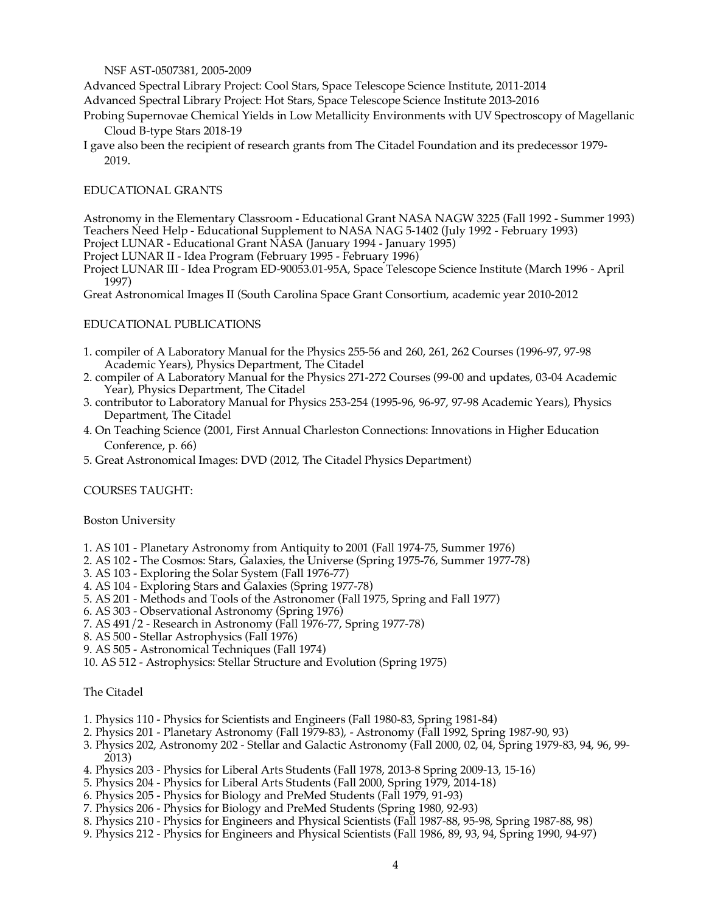NSF AST-0507381, 2005-2009

Advanced Spectral Library Project: Cool Stars, Space Telescope Science Institute, 2011-2014 Advanced Spectral Library Project: Hot Stars, Space Telescope Science Institute 2013-2016

- Probing Supernovae Chemical Yields in Low Metallicity Environments with UV Spectroscopy of Magellanic Cloud B-type Stars 2018-19
- I gave also been the recipient of research grants from The Citadel Foundation and its predecessor 1979- 2019.

# EDUCATIONAL GRANTS

Astronomy in the Elementary Classroom - Educational Grant NASA NAGW 3225 (Fall 1992 - Summer 1993) Teachers Need Help - Educational Supplement to NASA NAG 5-1402 (July 1992 - February 1993)

Project LUNAR - Educational Grant NASA (January 1994 - January 1995) Project LUNAR II - Idea Program (February 1995 - February 1996)

Project LUNAR III - Idea Program ED-90053.01-95A, Space Telescope Science Institute (March 1996 - April 1997)

Great Astronomical Images II (South Carolina Space Grant Consortium, academic year 2010-2012

## EDUCATIONAL PUBLICATIONS

- 1. compiler of A Laboratory Manual for the Physics 255-56 and 260, 261, 262 Courses (1996-97, 97-98 Academic Years), Physics Department, The Citadel
- 2. compiler of A Laboratory Manual for the Physics 271-272 Courses (99-00 and updates, 03-04 Academic Year), Physics Department, The Citadel
- 3. contributor to Laboratory Manual for Physics 253-254 (1995-96, 96-97, 97-98 Academic Years), Physics Department, The Citadel
- 4. On Teaching Science (2001, First Annual Charleston Connections: Innovations in Higher Education Conference, p. 66)
- 5. Great Astronomical Images: DVD (2012, The Citadel Physics Department)

# COURSES TAUGHT:

### Boston University

- 1. AS 101 Planetary Astronomy from Antiquity to 2001 (Fall 1974-75, Summer 1976)
- 2. AS 102 The Cosmos: Stars, Galaxies, the Universe (Spring 1975-76, Summer 1977-78)
- 3. AS 103 Exploring the Solar System (Fall 1976-77)
- 4. AS 104 Exploring Stars and Galaxies (Spring 1977-78)
- 5. AS 201 Methods and Tools of the Astronomer (Fall 1975, Spring and Fall 1977)
- 6. AS 303 Observational Astronomy (Spring 1976)
- 7. AS 491/2 Research in Astronomy (Fall 1976-77, Spring 1977-78)
- 8. AS 500 Stellar Astrophysics (Fall 1976)
- 9. AS 505 Astronomical Techniques (Fall 1974)
- 10. AS 512 Astrophysics: Stellar Structure and Evolution (Spring 1975)

## The Citadel

- 1. Physics 110 Physics for Scientists and Engineers (Fall 1980-83, Spring 1981-84)
- 2. Physics 201 Planetary Astronomy (Fall 1979-83), Astronomy (Fall 1992, Spring 1987-90, 93)
- 3. Physics 202, Astronomy 202 Stellar and Galactic Astronomy (Fall 2000, 02, 04, Spring 1979-83, 94, 96, 99- 2013)
- 4. Physics 203 Physics for Liberal Arts Students (Fall 1978, 2013-8 Spring 2009-13, 15-16)
- 5. Physics 204 Physics for Liberal Arts Students (Fall 2000, Spring 1979, 2014-18)
- 6. Physics 205 Physics for Biology and PreMed Students (Fall 1979, 91-93)
- 7. Physics 206 Physics for Biology and PreMed Students (Spring 1980, 92-93)
- 8. Physics 210 Physics for Engineers and Physical Scientists (Fall 1987-88, 95-98, Spring 1987-88, 98)
- 9. Physics 212 Physics for Engineers and Physical Scientists (Fall 1986, 89, 93, 94, Spring 1990, 94-97)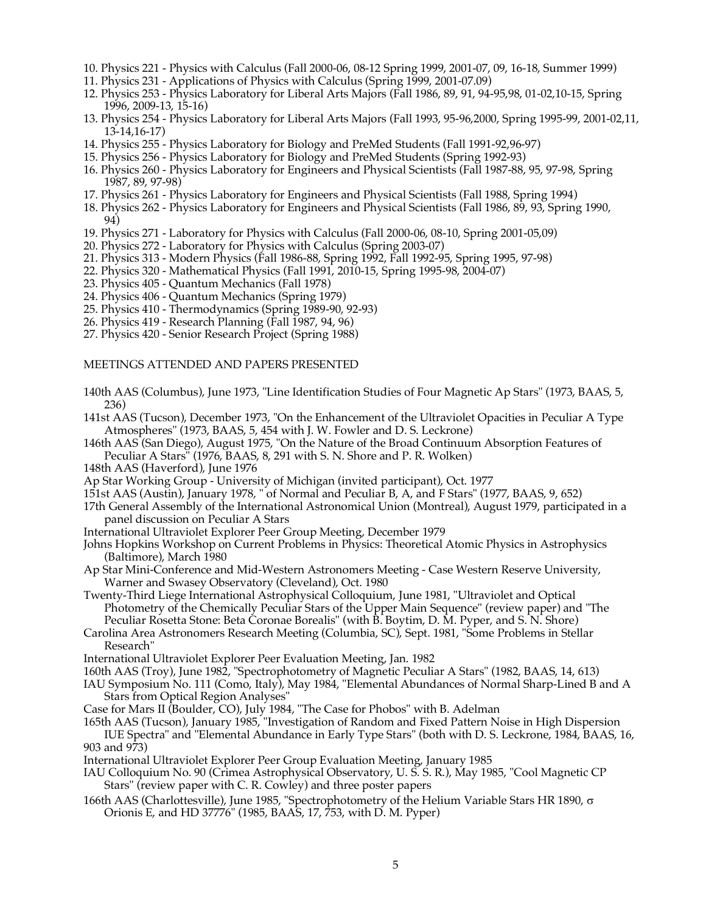- 10. Physics 221 Physics with Calculus (Fall 2000-06, 08-12 Spring 1999, 2001-07, 09, 16-18, Summer 1999)
- 11. Physics 231 Applications of Physics with Calculus (Spring 1999, 2001-07.09)
- 12. Physics 253 Physics Laboratory for Liberal Arts Majors (Fall 1986, 89, 91, 94-95,98, 01-02,10-15, Spring 1996, 2009-13, 15-16)
- 13. Physics 254 Physics Laboratory for Liberal Arts Majors (Fall 1993, 95-96,2000, Spring 1995-99, 2001-02,11, 13-14,16-17)
- 14. Physics 255 Physics Laboratory for Biology and PreMed Students (Fall 1991-92,96-97)
- 15. Physics 256 Physics Laboratory for Biology and PreMed Students (Spring 1992-93)
- 16. Physics 260 Physics Laboratory for Engineers and Physical Scientists (Fall 1987-88, 95, 97-98, Spring 1987, 89, 97-98)
- 17. Physics 261 Physics Laboratory for Engineers and Physical Scientists (Fall 1988, Spring 1994)
- 18. Physics 262 Physics Laboratory for Engineers and Physical Scientists (Fall 1986, 89, 93, Spring 1990, 94)
- 19. Physics 271 Laboratory for Physics with Calculus (Fall 2000-06, 08-10, Spring 2001-05,09)
- 20. Physics 272 Laboratory for Physics with Calculus (Spring 2003-07)
- 21. Physics 313 Modern Physics (Fall 1986-88, Spring 1992, Fall 1992-95, Spring 1995, 97-98)
- 22. Physics 320 Mathematical Physics (Fall 1991, 2010-15, Spring 1995-98, 2004-07)
- 23. Physics 405 Quantum Mechanics (Fall 1978)
- 24. Physics 406 Quantum Mechanics (Spring 1979)
- 25. Physics 410 Thermodynamics (Spring 1989-90, 92-93)
- 26. Physics 419 Research Planning (Fall 1987, 94, 96)
- 27. Physics 420 Senior Research Project (Spring 1988)

#### MEETINGS ATTENDED AND PAPERS PRESENTED

- 140th AAS (Columbus), June 1973, "Line Identification Studies of Four Magnetic Ap Stars" (1973, BAAS, 5, 236)
- 141st AAS (Tucson), December 1973, "On the Enhancement of the Ultraviolet Opacities in Peculiar A Type Atmospheres" (1973, BAAS, 5, 454 with J. W. Fowler and D. S. Leckrone)
- 146th AAS (San Diego), August 1975, "On the Nature of the Broad Continuum Absorption Features of Peculiar A Stars" (1976, BAAS, 8, 291 with S. N. Shore and P. R. Wolken)
- 148th AAS (Haverford), June 1976
- Ap Star Working Group University of Michigan (invited participant), Oct. 1977
- 151st AAS (Austin), January 1978, " of Normal and Peculiar B, A, and F Stars" (1977, BAAS, 9, 652)
- 17th General Assembly of the International Astronomical Union (Montreal), August 1979, participated in a panel discussion on Peculiar A Stars
- International Ultraviolet Explorer Peer Group Meeting, December 1979
- Johns Hopkins Workshop on Current Problems in Physics: Theoretical Atomic Physics in Astrophysics (Baltimore), March 1980
- Ap Star Mini-Conference and Mid-Western Astronomers Meeting Case Western Reserve University, Warner and Swasey Observatory (Cleveland), Oct. 1980
- Twenty-Third Liege International Astrophysical Colloquium, June 1981, "Ultraviolet and Optical Photometry of the Chemically Peculiar Stars of the Upper Main Sequence" (review paper) and "The Peculiar Rosetta Stone: Beta Coronae Borealis" (with B. Boytim, D. M. Pyper, and S. N. Shore)
- Carolina Area Astronomers Research Meeting (Columbia, SC), Sept. 1981, "Some Problems in Stellar Research"
- International Ultraviolet Explorer Peer Evaluation Meeting, Jan. 1982
- 160th AAS (Troy), June 1982, "Spectrophotometry of Magnetic Peculiar A Stars" (1982, BAAS, 14, 613)
- IAU Symposium No. 111 (Como, Italy), May 1984, "Elemental Abundances of Normal Sharp-Lined B and A Stars from Optical Region Analyses"
- Case for Mars II (Boulder, CO), July 1984, "The Case for Phobos" with B. Adelman

#### 165th AAS (Tucson), January 1985, "Investigation of Random and Fixed Pattern Noise in High Dispersion IUE Spectra" and "Elemental Abundance in Early Type Stars" (both with D. S. Leckrone, 1984, BAAS, 16, 903 and 973)

- International Ultraviolet Explorer Peer Group Evaluation Meeting, January 1985
- IAU Colloquium No. 90 (Crimea Astrophysical Observatory, U. S. S. R.), May 1985, "Cool Magnetic CP Stars" (review paper with C. R. Cowley) and three poster papers
- 166th AAS (Charlottesville), June 1985, "Spectrophotometry of the Helium Variable Stars HR 1890,  $\sigma$ Orionis E, and HD 37776" (1985, BAAS, 17, 753, with D. M. Pyper)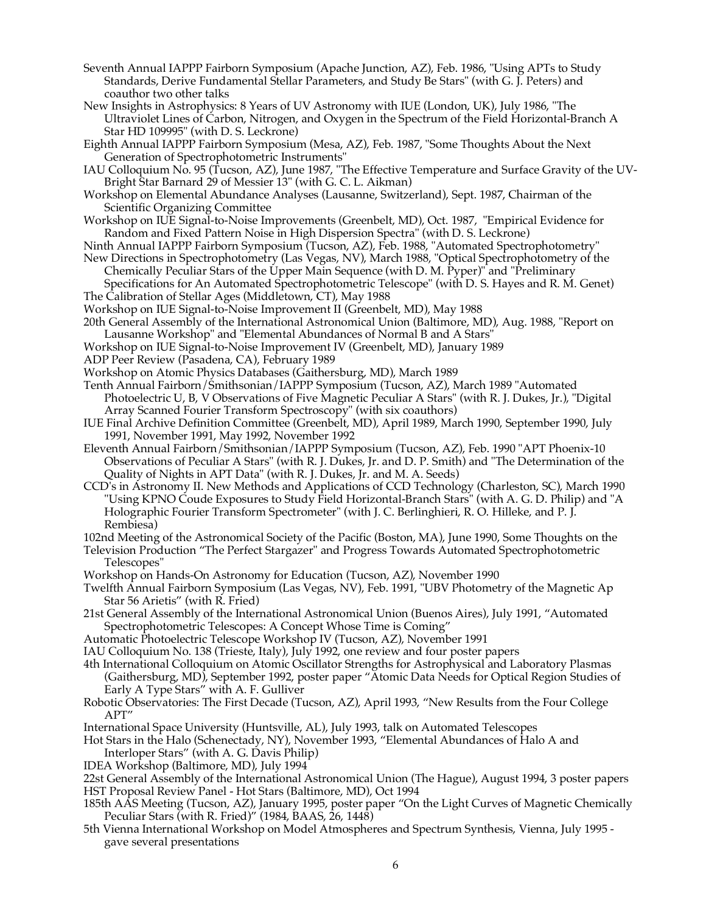- Seventh Annual IAPPP Fairborn Symposium (Apache Junction, AZ), Feb. 1986, "Using APTs to Study Standards, Derive Fundamental Stellar Parameters, and Study Be Stars" (with G. J. Peters) and coauthor two other talks
- New Insights in Astrophysics: 8 Years of UV Astronomy with IUE (London, UK), July 1986, "The Ultraviolet Lines of Carbon, Nitrogen, and Oxygen in the Spectrum of the Field Horizontal-Branch A Star HD 109995" (with D. S. Leckrone)
- Eighth Annual IAPPP Fairborn Symposium (Mesa, AZ), Feb. 1987, "Some Thoughts About the Next Generation of Spectrophotometric Instruments"
- IAU Colloquium No. 95 (Tucson, AZ), June 1987, "The Effective Temperature and Surface Gravity of the UV-Bright Star Barnard 29 of Messier 13" (with G. C. L. Aikman)
- Workshop on Elemental Abundance Analyses (Lausanne, Switzerland), Sept. 1987, Chairman of the Scientific Organizing Committee
- Workshop on IUE Signal-to-Noise Improvements (Greenbelt, MD), Oct. 1987, "Empirical Evidence for Random and Fixed Pattern Noise in High Dispersion Spectra" (with D. S. Leckrone)
- Ninth Annual IAPPP Fairborn Symposium (Tucson, AZ), Feb. 1988, "Automated Spectrophotometry"
- New Directions in Spectrophotometry (Las Vegas, NV), March 1988, "Optical Spectrophotometry of the Chemically Peculiar Stars of the Upper Main Sequence (with D. M. Pyper)" and "Preliminary Specifications for An Automated Spectrophotometric Telescope" (with D. S. Hayes and R. M. Genet)
- The Calibration of Stellar Ages (Middletown, CT), May 1988
- Workshop on IUE Signal-to-Noise Improvement II (Greenbelt, MD), May 1988
- 20th General Assembly of the International Astronomical Union (Baltimore, MD), Aug. 1988, "Report on Lausanne Workshop" and "Elemental Abundances of Normal B and A Stars"
- Workshop on IUE Signal-to-Noise Improvement IV (Greenbelt, MD), January 1989
- ADP Peer Review (Pasadena, CA), February 1989
- Workshop on Atomic Physics Databases (Gaithersburg, MD), March 1989
- Tenth Annual Fairborn/Smithsonian/IAPPP Symposium (Tucson, AZ), March 1989 "Automated Photoelectric U, B, V Observations of Five Magnetic Peculiar A Stars" (with R. J. Dukes, Jr.), "Digital Array Scanned Fourier Transform Spectroscopy" (with six coauthors)
- IUE Final Archive Definition Committee (Greenbelt, MD), April 1989, March 1990, September 1990, July 1991, November 1991, May 1992, November 1992
- Eleventh Annual Fairborn/Smithsonian/IAPPP Symposium (Tucson, AZ), Feb. 1990 "APT Phoenix-10 Observations of Peculiar A Stars" (with R. J. Dukes, Jr. and D. P. Smith) and "The Determination of the Quality of Nights in APT Data" (with R. J. Dukes, Jr. and M. A. Seeds)
- CCD's in Astronomy II. New Methods and Applications of CCD Technology (Charleston, SC), March 1990 "Using KPNO Coude Exposures to Study Field Horizontal-Branch Stars" (with A. G. D. Philip) and "A Holographic Fourier Transform Spectrometer" (with J. C. Berlinghieri, R. O. Hilleke, and P. J. Rembiesa)
- 102nd Meeting of the Astronomical Society of the Pacific (Boston, MA), June 1990, Some Thoughts on the
- Television Production "The Perfect Stargazer" and Progress Towards Automated Spectrophotometric Telescopes"
- Workshop on Hands-On Astronomy for Education (Tucson, AZ), November 1990
- Twelfth Annual Fairborn Symposium (Las Vegas, NV), Feb. 1991, "UBV Photometry of the Magnetic Ap Star 56 Arietis" (with R. Fried)
- 21st General Assembly of the International Astronomical Union (Buenos Aires), July 1991, "Automated Spectrophotometric Telescopes: A Concept Whose Time is Coming"
- Automatic Photoelectric Telescope Workshop IV (Tucson, AZ), November 1991
- IAU Colloquium No. 138 (Trieste, Italy), July 1992, one review and four poster papers
- 4th International Colloquium on Atomic Oscillator Strengths for Astrophysical and Laboratory Plasmas (Gaithersburg, MD), September 1992, poster paper "Atomic Data Needs for Optical Region Studies of Early A Type Stars" with A. F. Gulliver
- Robotic Observatories: The First Decade (Tucson, AZ), April 1993, "New Results from the Four College APT"
- International Space University (Huntsville, AL), July 1993, talk on Automated Telescopes
- Hot Stars in the Halo (Schenectady, NY), November 1993, "Elemental Abundances of Halo A and Interloper Stars" (with A. G. Davis Philip)
- IDEA Workshop (Baltimore, MD), July 1994
- 22st General Assembly of the International Astronomical Union (The Hague), August 1994, 3 poster papers HST Proposal Review Panel - Hot Stars (Baltimore, MD), Oct 1994
- 185th AAS Meeting (Tucson, AZ), January 1995, poster paper "On the Light Curves of Magnetic Chemically Peculiar Stars (with R. Fried)" (1984, BAAS,  $26$ , 1448)
- 5th Vienna International Workshop on Model Atmospheres and Spectrum Synthesis, Vienna, July 1995 gave several presentations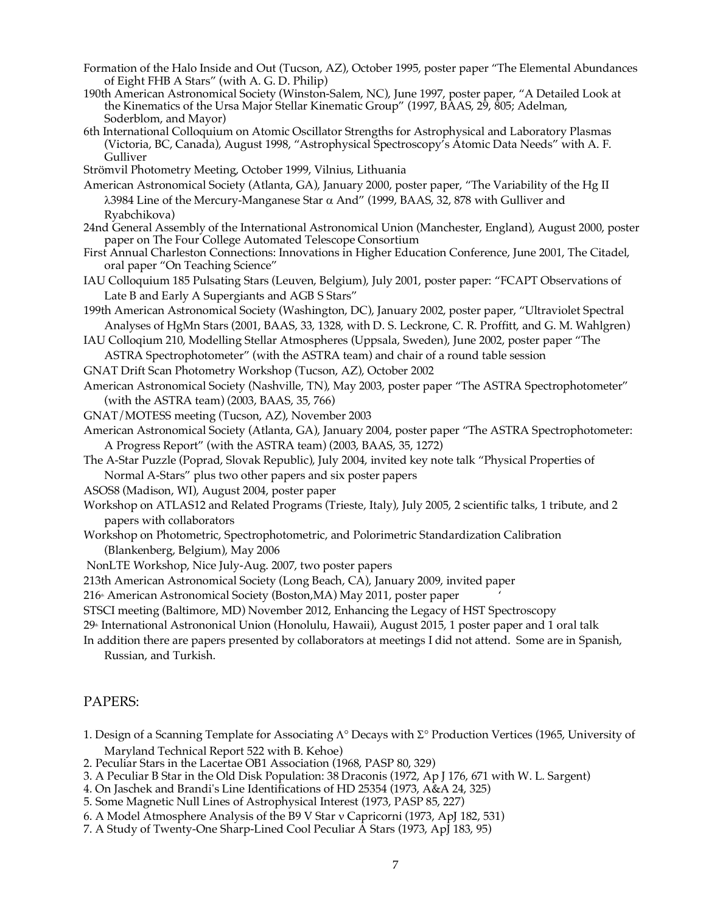- Formation of the Halo Inside and Out (Tucson, AZ), October 1995, poster paper "The Elemental Abundances of Eight FHB A Stars" (with A. G. D. Philip)
- 190th American Astronomical Society (Winston-Salem, NC), June 1997, poster paper, "A Detailed Look at the Kinematics of the Ursa Major Stellar Kinematic Group" (1997, BAAS, 29, 805; Adelman, Soderblom, and Mayor)
- 6th International Colloquium on Atomic Oscillator Strengths for Astrophysical and Laboratory Plasmas (Victoria, BC, Canada), August 1998, "Astrophysical Spectroscopy's Atomic Data Needs" with A. F. Gulliver
- Strömvil Photometry Meeting, October 1999, Vilnius, Lithuania
- American Astronomical Society (Atlanta, GA), January 2000, poster paper, "The Variability of the Hg II  $\lambda$ 3984 Line of the Mercury-Manganese Star  $\alpha$  And" (1999, BAAS, 32, 878 with Gulliver and Ryabchikova)
- 24nd General Assembly of the International Astronomical Union (Manchester, England), August 2000, poster paper on The Four College Automated Telescope Consortium
- First Annual Charleston Connections: Innovations in Higher Education Conference, June 2001, The Citadel, oral paper "On Teaching Science"
- IAU Colloquium 185 Pulsating Stars (Leuven, Belgium), July 2001, poster paper: "FCAPT Observations of Late B and Early A Supergiants and AGB S Stars"
- 199th American Astronomical Society (Washington, DC), January 2002, poster paper, "Ultraviolet Spectral Analyses of HgMn Stars (2001, BAAS, 33, 1328, with D. S. Leckrone, C. R. Proffitt, and G. M. Wahlgren)
- IAU Colloqium 210, Modelling Stellar Atmospheres (Uppsala, Sweden), June 2002, poster paper "The ASTRA Spectrophotometer" (with the ASTRA team) and chair of a round table session
- GNAT Drift Scan Photometry Workshop (Tucson, AZ), October 2002
- American Astronomical Society (Nashville, TN), May 2003, poster paper "The ASTRA Spectrophotometer" (with the ASTRA team) (2003, BAAS, 35, 766)
- GNAT/MOTESS meeting (Tucson, AZ), November 2003
- American Astronomical Society (Atlanta, GA), January 2004, poster paper "The ASTRA Spectrophotometer: A Progress Report" (with the ASTRA team) (2003, BAAS, 35, 1272)
- The A-Star Puzzle (Poprad, Slovak Republic), July 2004, invited key note talk "Physical Properties of Normal A-Stars" plus two other papers and six poster papers
- ASOS8 (Madison, WI), August 2004, poster paper
- Workshop on ATLAS12 and Related Programs (Trieste, Italy), July 2005, 2 scientific talks, 1 tribute, and 2 papers with collaborators
- Workshop on Photometric, Spectrophotometric, and Polorimetric Standardization Calibration (Blankenberg, Belgium), May 2006
- NonLTE Workshop, Nice July-Aug. 2007, two poster papers
- 213th American Astronomical Society (Long Beach, CA), January 2009, invited paper

216<sup>th</sup> American Astronomical Society (Boston,MA) May 2011, poster paper

STSCI meeting (Baltimore, MD) November 2012, Enhancing the Legacy of HST Spectroscopy

29<sup>th</sup> International Astrononical Union (Honolulu, Hawaii), August 2015, 1 poster paper and 1 oral talk

In addition there are papers presented by collaborators at meetings I did not attend. Some are in Spanish, Russian, and Turkish.

## PAPERS:

- 1. Design of a Scanning Template for Associating  $\Lambda^{\circ}$  Decays with  $\Sigma^{\circ}$  Production Vertices (1965, University of Maryland Technical Report 522 with B. Kehoe)
- 2. Peculiar Stars in the Lacertae OB1 Association (1968, PASP 80, 329)
- 3. A Peculiar B Star in the Old Disk Population: 38 Draconis (1972, Ap J 176, 671 with W. L. Sargent)
- 4. On Jaschek and Brandi's Line Identifications of HD 25354 (1973, A&A 24, 325)
- 5. Some Magnetic Null Lines of Astrophysical Interest (1973, PASP 85, 227)
- 6. A Model Atmosphere Analysis of the B9 V Star v Capricorni (1973, ApJ 182, 531)
- 7. A Study of Twenty-One Sharp-Lined Cool Peculiar  $\tilde{A}$  Stars (1973, ApJ 183, 95)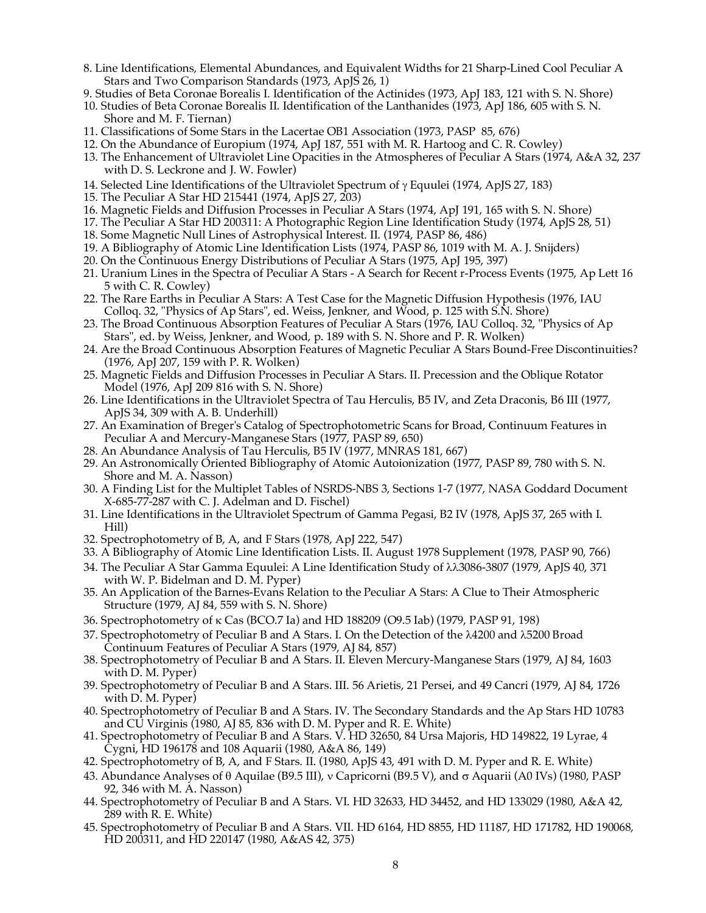- 8. Line Identifications, Elemental Abundances, and Equivalent Widths for 21 Sharp-Lined Cool Peculiar A Stars and Two Comparison Standards (1973, ApJS 26, 1)
- 9. Studies of Beta Coronae Borealis I. Identification of the Actinides (1973, ApJ 183, 121 with S. N. Shore)
- 10. Studies of Beta Coronae Borealis II. Identification of the Lanthanides (1973, ApJ 186, 605 with S. N. Shore and M. F. Tiernan)
- 11. Classifications of Some Stars in the Lacertae OB1 Association (1973, PASP 85, 676)
- 12. On the Abundance of Europium (1974, ApJ 187, 551 with M. R. Hartoog and C. R. Cowley)
- 13. The Enhancement of Ultraviolet Line Opacities in the Atmospheres of Peculiar A Stars (1974, A&A 32, 237 with D. S. Leckrone and J. W. Fowler)
- 14. Selected Line Identifications of the Ultraviolet Spectrum of  $\gamma$  Equulei (1974, ApJS 27, 183)
- 15. The Peculiar A Star HD 215441 (1974, ApJS 27, 203)
- 16. Magnetic Fields and Diffusion Processes in Peculiar A Stars (1974, ApJ 191, 165 with S. N. Shore)
- 17. The Peculiar A Star HD 200311: A Photographic Region Line Identification Study (1974, ApJS 28, 51)
- 18. Some Magnetic Null Lines of Astrophysical Interest. II. (1974, PASP 86, 486)
- 19. A Bibliography of Atomic Line Identification Lists (1974, PASP 86, 1019 with M. A. J. Snijders)
- 20. On the Continuous Energy Distributions of Peculiar A Stars (1975, ApJ 195, 397)
- 21. Uranium Lines in the Spectra of Peculiar A Stars A Search for Recent r-Process Events (1975, Ap Lett 16 5 with C. R. Cowley)
- 22. The Rare Earths in Peculiar A Stars: A Test Case for the Magnetic Diffusion Hypothesis (1976, IAU Colloq. 32, "Physics of Ap Stars", ed. Weiss, Jenkner, and Wood, p. 125 with S.N. Shore)
- 23. The Broad Continuous Absorption Features of Peculiar A Stars (1976, IAU Colloq. 32, "Physics of Ap Stars", ed. by Weiss, Jenkner, and Wood, p. 189 with S. N. Shore and P. R. Wolken)
- 24. Are the Broad Continuous Absorption Features of Magnetic Peculiar A Stars Bound-Free Discontinuities? (1976, ApJ 207, 159 with P. R. Wolken)
- 25. Magnetic Fields and Diffusion Processes in Peculiar A Stars. II. Precession and the Oblique Rotator Model (1976, ApJ 209 816 with S. N. Shore)
- 26. Line Identifications in the Ultraviolet Spectra of Tau Herculis, B5 IV, and Zeta Draconis, B6 III (1977, ApJS 34, 309 with A. B. Underhill)
- 27. An Examination of Breger's Catalog of Spectrophotometric Scans for Broad, Continuum Features in Peculiar A and Mercury-Manganese Stars (1977, PASP 89, 650)
- 28. An Abundance Analysis of Tau Herculis, B5 IV (1977, MNRAS 181, 667)
- 29. An Astronomically Oriented Bibliography of Atomic Autoionization (1977, PASP 89, 780 with S. N. Shore and M. A. Nasson)
- 30. A Finding List for the Multiplet Tables of NSRDS-NBS 3, Sections 1-7 (1977, NASA Goddard Document X-685-77-287 with C. J. Adelman and D. Fischel)
- 31. Line Identifications in the Ultraviolet Spectrum of Gamma Pegasi, B2 IV (1978, ApJS 37, 265 with I. Hill)
- 32. Spectrophotometry of B, A, and F Stars (1978, ApJ 222, 547)
- 33. A Bibliography of Atomic Line Identification Lists. II. August 1978 Supplement (1978, PASP 90, 766)
- 34. The Peculiar A Star Gamma Equulei: A Line Identification Study of  $\lambda\lambda$ 3086-3807 (1979, ApJS 40, 371) with W. P. Bidelman and D. M. Pyper)
- 35. An Application of the Barnes-Evans Relation to the Peculiar A Stars: A Clue to Their Atmospheric Structure (1979, AJ 84, 559 with S. N. Shore)
- 36. Spectrophotometry of k Cas (BCO.7 Ia) and HD 188209 (O9.5 Iab) (1979, PASP 91, 198)
- 37. Spectrophotometry of Peculiar B and A Stars. I. On the Detection of the  $\lambda$ 4200 and  $\lambda$ 5200 Broad Continuum Features of Peculiar A Stars (1979, AJ 84, 857)
- 38. Spectrophotometry of Peculiar B and A Stars. II. Eleven Mercury-Manganese Stars (1979, AJ 84, 1603 with D. M. Pyper)
- 39. Spectrophotometry of Peculiar B and A Stars. III. 56 Arietis, 21 Persei, and 49 Cancri (1979, AJ 84, 1726 with D. M. Pyper)
- 40. Spectrophotometry of Peculiar B and A Stars. IV. The Secondary Standards and the Ap Stars HD 10783 and  $C\hat{U}$  Virginis (1980, AJ 85, 836 with D. M. Pyper and R. E. White)
- 41. Spectrophotometry of Peculiar B and A Stars. V. HD 32650, 84 Ursa Majoris, HD 149822, 19 Lyrae, 4 Cygni, HD 196178 and 108 Aquarii (1980, A&A 86, 149)
- 42. Spectrophotometry of B, A, and F Stars. II. (1980, ApJS 43, 491 with D. M. Pyper and R. E. White)
- 43. Abundance Analyses of  $\theta$  Aquilae (B9.5 III), y Capricorni (B9.5 V), and  $\sigma$  Aquarii (A0 IVs) (1980, PASP 92, 346 with M. A. Nasson)
- 44. Spectrophotometry of Peculiar B and A Stars. VI. HD 32633, HD 34452, and HD 133029 (1980, A&A 42, 289 with R. E. White)
- 45. Spectrophotometry of Peculiar B and A Stars. VII. HD 6164, HD 8855, HD 11187, HD 171782, HD 190068, HD 200311, and HD 220147 (1980, A&AS 42, 375)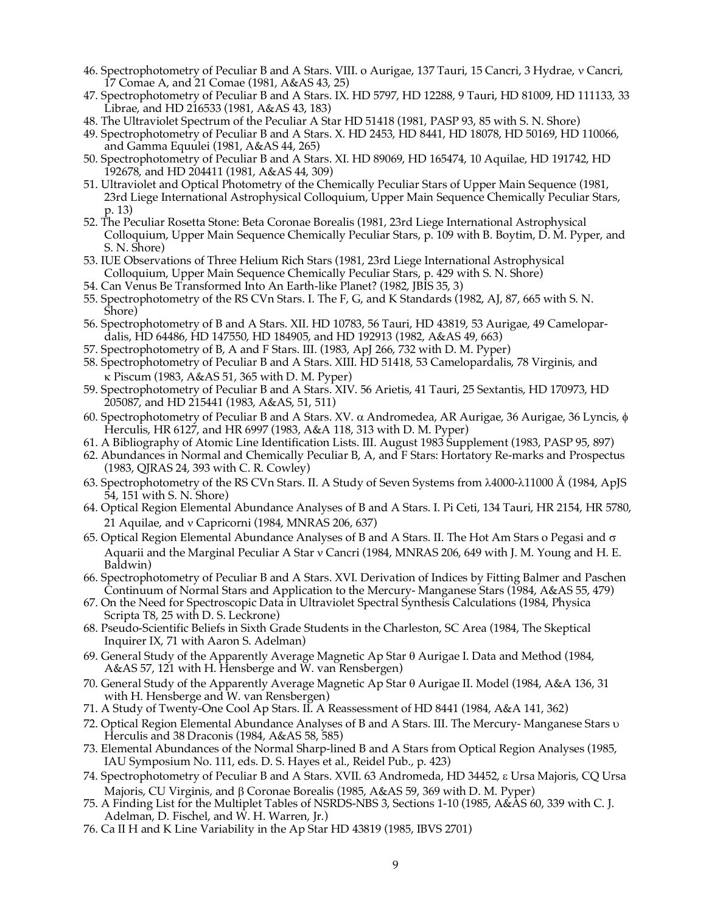- 46. Spectrophotometry of Peculiar B and A Stars. VIII. o Aurigae, 137 Tauri, 15 Cancri, 3 Hydrae, v Cancri, 17 Comae A, and 21 Comae (1981, A&AS 43, 25)
- 47. Spectrophotometry of Peculiar B and A Stars. IX. HD 5797, HD 12288, 9 Tauri, HD 81009, HD 111133, 33 Librae, and HD 216533 (1981, A&AS 43, 183)
- 48. The Ultraviolet Spectrum of the Peculiar A Star HD 51418 (1981, PASP 93, 85 with S. N. Shore)
- 49. Spectrophotometry of Peculiar B and A Stars. X. HD 2453, HD 8441, HD 18078, HD 50169, HD 110066, and Gamma Equulei (1981, A&AS 44, 265)
- 50. Spectrophotometry of Peculiar B and A Stars. XI. HD 89069, HD 165474, 10 Aquilae, HD 191742, HD 192678, and HD 204411 (1981, A&AS 44, 309)
- 51. Ultraviolet and Optical Photometry of the Chemically Peculiar Stars of Upper Main Sequence (1981, 23rd Liege International Astrophysical Colloquium, Upper Main Sequence Chemically Peculiar Stars, p. 13)
- 52. The Peculiar Rosetta Stone: Beta Coronae Borealis (1981, 23rd Liege International Astrophysical Colloquium, Upper Main Sequence Chemically Peculiar Stars, p. 109 with B. Boytim, D. M. Pyper, and S. N. Shore)
- 53. IUE Observations of Three Helium Rich Stars (1981, 23rd Liege International Astrophysical Colloquium, Upper Main Sequence Chemically Peculiar Stars, p. 429 with S. N. Shore)
- 54. Can Venus Be Transformed Into An Earth-like Planet? (1982, JBIS 35, 3)
- 55. Spectrophotometry of the RS CVn Stars. I. The F, G, and K Standards (1982, AJ, 87, 665 with S. N. Shore)
- 56. Spectrophotometry of B and A Stars. XII. HD 10783, 56 Tauri, HD 43819, 53 Aurigae, 49 Camelopardalis, HD 64486, HD 147550, HD 184905, and HD 192913 (1982, A&AS 49, 663)
- 57. Spectrophotometry of B, A and F Stars. III. (1983, ApJ 266, 732 with D. M. Pyper)
- 58. Spectrophotometry of Peculiar B and A Stars. XIII. HD 51418, 53 Camelopardalis, 78 Virginis, and k Piscum (1983, A&AS 51, 365 with D. M. Pyper)
- 59. Spectrophotometry of Peculiar B and A Stars. XIV. 56 Arietis, 41 Tauri, 25 Sextantis, HD 170973, HD 205087, and HD 215441 (1983, A&AS, 51, 511)
- 60. Spectrophotometry of Peculiar B and A Stars. XV.  $\alpha$  Andromedea, AR Aurigae, 36 Aurigae, 36 Lyncis,  $\phi$ Herculis, HR 6127, and HR 6997 (1983, A&A 118, 313 with D. M. Pyper)
- 61. A Bibliography of Atomic Line Identification Lists. III. August 1983 Supplement (1983, PASP 95, 897)
- 62. Abundances in Normal and Chemically Peculiar B, A, and F Stars: Hortatory Re-marks and Prospectus (1983, QJRAS 24, 393 with C. R. Cowley)
- 63. Spectrophotometry of the RS CVn Stars. II. A Study of Seven Systems from  $\lambda$ 4000- $\lambda$ 11000 Å (1984, ApJS 54, 151 with S. N. Shore)
- 64. Optical Region Elemental Abundance Analyses of B and A Stars. I. Pi Ceti, 134 Tauri, HR 2154, HR 5780, 21 Aquilae, and y Capricorni (1984, MNRAS 206, 637)
- 65. Optical Region Elemental Abundance Analyses of B and A Stars. II. The Hot Am Stars o Pegasi and  $\sigma$ Aquarii and the Marginal Peculiar A Star v Cancri (1984, MNRAS 206, 649 with J. M. Young and H. E. Baldwin)
- 66. Spectrophotometry of Peculiar B and A Stars. XVI. Derivation of Indices by Fitting Balmer and Paschen Continuum of Normal Stars and Application to the Mercury- Manganese Stars (1984, A&AS 55, 479)
- 67. On the Need for Spectroscopic Data in Ultraviolet Spectral Synthesis Calculations (1984, Physica Scripta T8, 25 with D. S. Leckrone)
- 68. Pseudo-Scientific Beliefs in Sixth Grade Students in the Charleston, SC Area (1984, The Skeptical Inquirer IX, 71 with Aaron S. Adelman)
- 69. General Study of the Apparently Average Magnetic Ap Star  $\theta$  Aurigae I. Data and Method (1984, A&AS 57, 121 with H. Hensberge and W. van Rensbergen)
- 70. General Study of the Apparently Average Magnetic Ap Star q Aurigae II. Model (1984, A&A 136, 31 with H. Hensberge and W. van Rensbergen)
- 71. A Study of Twenty-One Cool Ap Stars. II. A Reassessment of HD 8441 (1984, A&A 141, 362)
- 72. Optical Region Elemental Abundance Analyses of B and A Stars. III. The Mercury- Manganese Stars u Herculis and 38 Draconis (1984, A&AS 58, 585)
- 73. Elemental Abundances of the Normal Sharp-lined B and A Stars from Optical Region Analyses (1985, IAU Symposium No. 111, eds. D. S. Hayes et al., Reidel Pub., p. 423)
- 74. Spectrophotometry of Peculiar B and A Stars. XVII. 63 Andromeda, HD 34452, e Ursa Majoris, CQ Ursa Majoris, CU Virginis, and  $\beta$  Coronae Borealis (1985, A&AS 59, 369 with D. M. Pyper)
- 75. A Finding List for the Multiplet Tables of NSRDS-NBS 3, Sections 1-10 (1985, A&AS 60, 339 with C. J. Adelman, D. Fischel, and W. H. Warren, Jr.)
- 76. Ca II H and K Line Variability in the Ap Star HD 43819 (1985, IBVS 2701)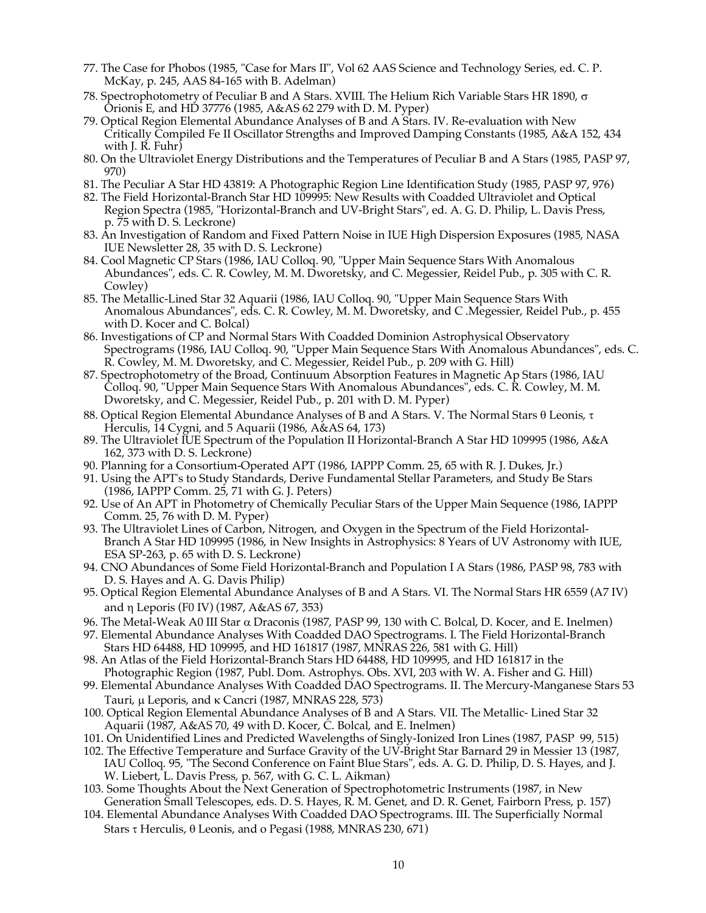- 77. The Case for Phobos (1985, "Case for Mars II", Vol 62 AAS Science and Technology Series, ed. C. P. McKay, p. 245, AAS 84-165 with B. Adelman)
- 78. Spectrophotometry of Peculiar B and A Stars. XVIII. The Helium Rich Variable Stars HR 1890,  $\sigma$ Orionis E, and HD 37776 (1985, A&AS 62 279 with D. M. Pyper)
- 79. Optical Region Elemental Abundance Analyses of B and A Stars. IV. Re-evaluation with New Critically Compiled Fe II Oscillator Strengths and Improved Damping Constants (1985, A&A 152, 434 with J. R. Fuhr)
- 80. On the Ultraviolet Energy Distributions and the Temperatures of Peculiar B and A Stars (1985, PASP 97, 970)
- 81. The Peculiar A Star HD 43819: A Photographic Region Line Identification Study (1985, PASP 97, 976)
- 82. The Field Horizontal-Branch Star HD 109995: New Results with Coadded Ultraviolet and Optical Region Spectra (1985, "Horizontal-Branch and UV-Bright Stars", ed. A. G. D. Philip, L. Davis Press, p. 75 with D. S. Leckrone)
- 83. An Investigation of Random and Fixed Pattern Noise in IUE High Dispersion Exposures (1985, NASA IUE Newsletter 28, 35 with D. S. Leckrone)
- 84. Cool Magnetic CP Stars (1986, IAU Colloq. 90, "Upper Main Sequence Stars With Anomalous Abundances", eds. C. R. Cowley, M. M. Dworetsky, and C. Megessier, Reidel Pub., p. 305 with C. R. Cowley)
- 85. The Metallic-Lined Star 32 Aquarii (1986, IAU Colloq. 90, "Upper Main Sequence Stars With Anomalous Abundances", eds. C. R. Cowley, M. M. Dworetsky, and C .Megessier, Reidel Pub., p. 455 with D. Kocer and C. Bolcal)
- 86. Investigations of CP and Normal Stars With Coadded Dominion Astrophysical Observatory Spectrograms (1986, IAU Colloq. 90, "Upper Main Sequence Stars With Anomalous Abundances", eds. C. R. Cowley, M. M. Dworetsky, and C. Megessier, Reidel Pub., p. 209 with G. Hill)
- 87. Spectrophotometry of the Broad, Continuum Absorption Features in Magnetic Ap Stars (1986, IAU Colloq. 90, "Upper Main Sequence Stars With Anomalous Abundances", eds. C. R. Cowley, M. M. Dworetsky, and C. Megessier, Reidel Pub., p. 201 with D. M. Pyper)
- 88. Optical Region Elemental Abundance Analyses of B and A Stars. V. The Normal Stars  $\theta$  Leonis,  $\tau$ Herculis, 14 Cygni, and 5 Aquarii (1986, A&AS 64, 173)
- 89. The Ultraviolet IUE Spectrum of the Population II Horizontal-Branch A Star HD 109995 (1986, A&A 162, 373 with D. S. Leckrone)
- 90. Planning for a Consortium-Operated APT (1986, IAPPP Comm. 25, 65 with R. J. Dukes, Jr.)
- 91. Using the APT's to Study Standards, Derive Fundamental Stellar Parameters, and Study Be Stars (1986, IAPPP Comm. 25, 71 with G. J. Peters)
- 92. Use of An APT in Photometry of Chemically Peculiar Stars of the Upper Main Sequence (1986, IAPPP Comm. 25, 76 with D. M. Pyper)
- 93. The Ultraviolet Lines of Carbon, Nitrogen, and Oxygen in the Spectrum of the Field Horizontal-Branch A Star HD 109995 (1986, in New Insights in Astrophysics: 8 Years of UV Astronomy with IUE, ESA SP-263, p. 65 with D. S. Leckrone)
- 94. CNO Abundances of Some Field Horizontal-Branch and Population I A Stars (1986, PASP 98, 783 with D. S. Hayes and A. G. Davis Philip)
- 95. Optical Region Elemental Abundance Analyses of B and A Stars. VI. The Normal Stars HR 6559 (A7 IV) and h Leporis (F0 IV) (1987, A&AS 67, 353)
- 96. The Metal-Weak A0 III Star a Draconis (1987, PASP 99, 130 with C. Bolcal, D. Kocer, and E. Inelmen)
- 97. Elemental Abundance Analyses With Coadded DAO Spectrograms. I. The Field Horizontal-Branch Stars HD 64488, HD 109995, and HD 161817 (1987, MNRAS 226, 581 with G. Hill)
- 98. An Atlas of the Field Horizontal-Branch Stars HD 64488, HD 109995, and HD 161817 in the Photographic Region (1987, Publ. Dom. Astrophys. Obs. XVI, 203 with W. A. Fisher and G. Hill)
- 99. Elemental Abundance Analyses With Coadded DAO Spectrograms. II. The Mercury-Manganese Stars 53 Tauri, µ Leporis, and k Cancri (1987, MNRAS 228, 573)
- 100. Optical Region Elemental Abundance Analyses of B and A Stars. VII. The Metallic- Lined Star 32 Aquarii (1987, A&AS 70, 49 with D. Kocer, C. Bolcal, and E. Inelmen)
- 101. On Unidentified Lines and Predicted Wavelengths of Singly-Ionized Iron Lines (1987, PASP 99, 515)
- 102. The Effective Temperature and Surface Gravity of the UV-Bright Star Barnard 29 in Messier 13 (1987, IAU Colloq. 95, "The Second Conference on Faint Blue Stars", eds. A. G. D. Philip, D. S. Hayes, and J. W. Liebert, L. Davis Press, p. 567, with G. C. L. Aikman)
- 103. Some Thoughts About the Next Generation of Spectrophotometric Instruments (1987, in New Generation Small Telescopes, eds. D. S. Hayes, R. M. Genet, and D. R. Genet, Fairborn Press, p. 157)
- 104. Elemental Abundance Analyses With Coadded DAO Spectrograms. III. The Superficially Normal Stars  $\tau$  Herculis,  $\theta$  Leonis, and o Pegasi (1988, MNRAS 230, 671)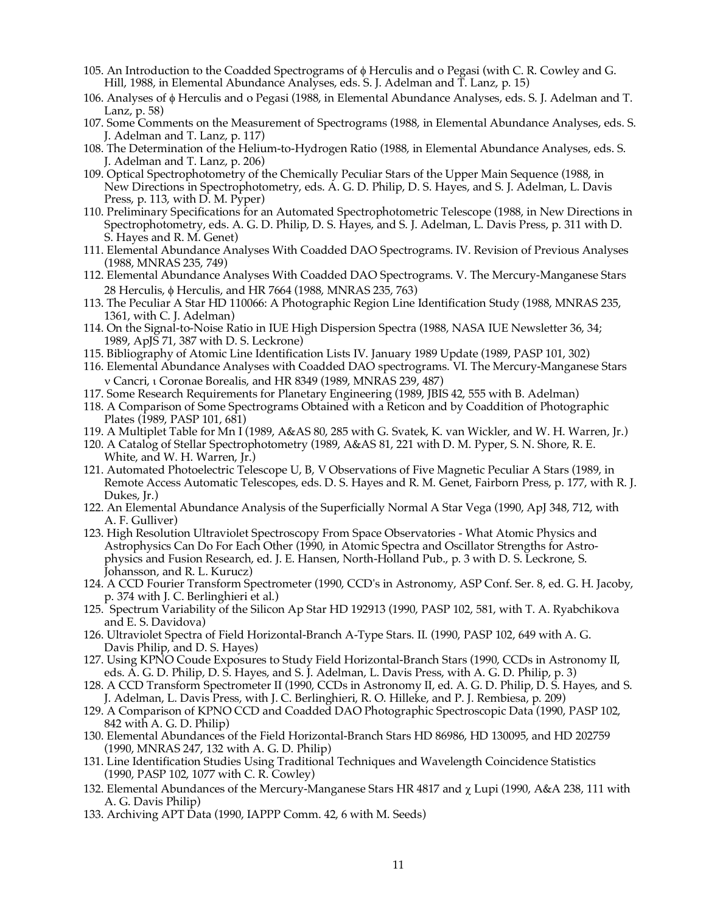- 105. An Introduction to the Coadded Spectrograms of f Herculis and o Pegasi (with C. R. Cowley and G. Hill, 1988, in Elemental Abundance Analyses, eds. S. J. Adelman and T. Lanz, p. 15)
- 106. Analyses of f Herculis and o Pegasi (1988, in Elemental Abundance Analyses, eds. S. J. Adelman and T. Lanz, p. 58)
- 107. Some Comments on the Measurement of Spectrograms (1988, in Elemental Abundance Analyses, eds. S. J. Adelman and T. Lanz, p. 117)
- 108. The Determination of the Helium-to-Hydrogen Ratio (1988, in Elemental Abundance Analyses, eds. S. J. Adelman and T. Lanz, p. 206)
- 109. Optical Spectrophotometry of the Chemically Peculiar Stars of the Upper Main Sequence (1988, in New Directions in Spectrophotometry, eds. A. G. D. Philip, D. S. Hayes, and S. J. Adelman, L. Davis Press, p. 113, with D. M. Pyper)
- 110. Preliminary Specifications for an Automated Spectrophotometric Telescope (1988, in New Directions in Spectrophotometry, eds. A. G. D. Philip, D. S. Hayes, and S. J. Adelman, L. Davis Press, p. 311 with D. S. Hayes and R. M. Genet)
- 111. Elemental Abundance Analyses With Coadded DAO Spectrograms. IV. Revision of Previous Analyses (1988, MNRAS 235, 749)
- 112. Elemental Abundance Analyses With Coadded DAO Spectrograms. V. The Mercury-Manganese Stars 28 Herculis,  $\phi$  Herculis, and HR 7664 (1988, MNRAS 235, 763)
- 113. The Peculiar A Star HD 110066: A Photographic Region Line Identification Study (1988, MNRAS 235, 1361, with C. J. Adelman)
- 114. On the Signal-to-Noise Ratio in IUE High Dispersion Spectra (1988, NASA IUE Newsletter 36, 34; 1989, ApJS 71, 387 with D. S. Leckrone)
- 115. Bibliography of Atomic Line Identification Lists IV. January 1989 Update (1989, PASP 101, 302)
- 116. Elemental Abundance Analyses with Coadded DAO spectrograms. VI. The Mercury-Manganese Stars n Cancri, i Coronae Borealis, and HR 8349 (1989, MNRAS 239, 487)
- 117. Some Research Requirements for Planetary Engineering (1989, JBIS 42, 555 with B. Adelman)
- 118. A Comparison of Some Spectrograms Obtained with a Reticon and by Coaddition of Photographic Plates (1989, PASP 101, 681)
- 119. A Multiplet Table for Mn I (1989, A&AS 80, 285 with G. Svatek, K. van Wickler, and W. H. Warren, Jr.)
- 120. A Catalog of Stellar Spectrophotometry (1989, A&AS 81, 221 with D. M. Pyper, S. N. Shore, R. E. White, and W. H. Warren, Jr.)
- 121. Automated Photoelectric Telescope U, B, V Observations of Five Magnetic Peculiar A Stars (1989, in Remote Access Automatic Telescopes, eds. D. S. Hayes and R. M. Genet, Fairborn Press, p. 177, with R. J. Dukes, Jr.)
- 122. An Elemental Abundance Analysis of the Superficially Normal A Star Vega (1990, ApJ 348, 712, with A. F. Gulliver)
- 123. High Resolution Ultraviolet Spectroscopy From Space Observatories What Atomic Physics and Astrophysics Can Do For Each Other (1990, in Atomic Spectra and Oscillator Strengths for Astrophysics and Fusion Research, ed. J. E. Hansen, North-Holland Pub., p. 3 with D. S. Leckrone, S. Johansson, and R. L. Kurucz)
- 124. A CCD Fourier Transform Spectrometer (1990, CCD's in Astronomy, ASP Conf. Ser. 8, ed. G. H. Jacoby, p. 374 with J. C. Berlinghieri et al.)
- 125. Spectrum Variability of the Silicon Ap Star HD 192913 (1990, PASP 102, 581, with T. A. Ryabchikova and E. S. Davidova)
- 126. Ultraviolet Spectra of Field Horizontal-Branch A-Type Stars. II. (1990, PASP 102, 649 with A. G. Davis Philip, and D. S. Hayes)
- 127. Using KPNO Coude Exposures to Study Field Horizontal-Branch Stars (1990, CCDs in Astronomy II, eds. A. G. D. Philip, D. S. Hayes, and S. J. Adelman, L. Davis Press, with A. G. D. Philip, p. 3)
- 128. A CCD Transform Spectrometer II (1990, CCDs in Astronomy II, ed. A. G. D. Philip, D. S. Hayes, and S. J. Adelman, L. Davis Press, with J. C. Berlinghieri, R. O. Hilleke, and P. J. Rembiesa, p. 209)
- 129. A Comparison of KPNO CCD and Coadded DAO Photographic Spectroscopic Data (1990, PASP 102, 842 with A. G. D. Philip)
- 130. Elemental Abundances of the Field Horizontal-Branch Stars HD 86986, HD 130095, and HD 202759 (1990, MNRAS 247, 132 with A. G. D. Philip)
- 131. Line Identification Studies Using Traditional Techniques and Wavelength Coincidence Statistics (1990, PASP 102, 1077 with C. R. Cowley)
- 132. Elemental Abundances of the Mercury-Manganese Stars HR 4817 and  $\chi$  Lupi (1990, A&A 238, 111 with A. G. Davis Philip)
- 133. Archiving APT Data (1990, IAPPP Comm. 42, 6 with M. Seeds)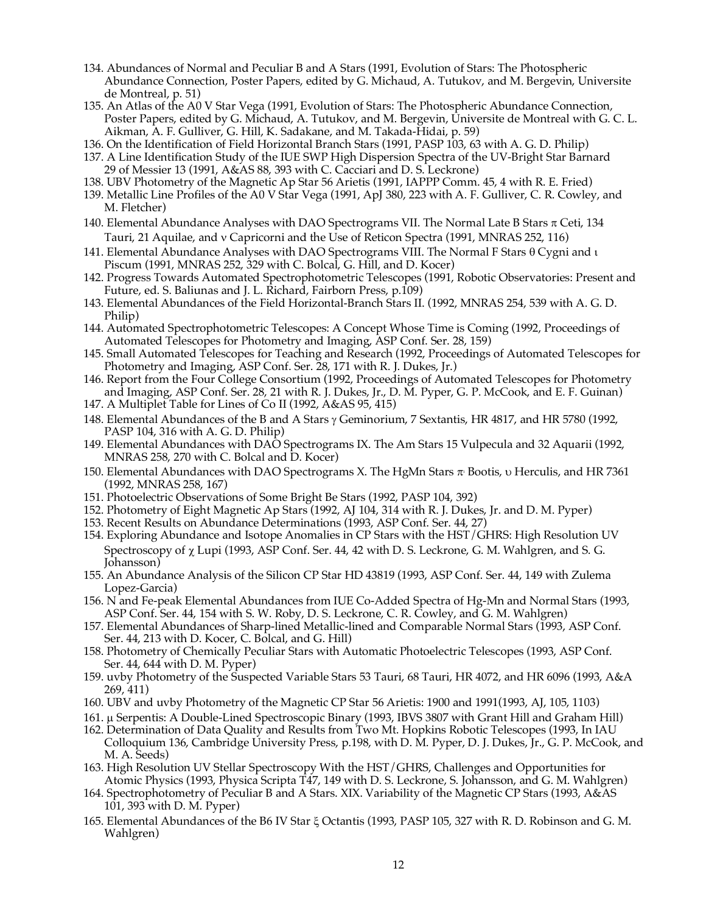- 134. Abundances of Normal and Peculiar B and A Stars (1991, Evolution of Stars: The Photospheric Abundance Connection, Poster Papers, edited by G. Michaud, A. Tutukov, and M. Bergevin, Universite de Montreal, p. 51)
- 135. An Atlas of the A0 V Star Vega (1991, Evolution of Stars: The Photospheric Abundance Connection, Poster Papers, edited by G. Michaud, A. Tutukov, and M. Bergevin, Universite de Montreal with G. C. L. Aikman, A. F. Gulliver, G. Hill, K. Sadakane, and M. Takada-Hidai, p. 59)
- 136. On the Identification of Field Horizontal Branch Stars (1991, PASP 103, 63 with A. G. D. Philip) 137. A Line Identification Study of the IUE SWP High Dispersion Spectra of the UV-Bright Star Barnard 29 of Messier 13 (1991, A&AS 88, 393 with C. Cacciari and D. S. Leckrone)
- 138. UBV Photometry of the Magnetic Ap Star 56 Arietis (1991, IAPPP Comm. 45, 4 with R. E. Fried)
- 139. Metallic Line Profiles of the A0 V Star Vega (1991, ApJ 380, 223 with A. F. Gulliver, C. R. Cowley, and M. Fletcher)
- 140. Elemental Abundance Analyses with DAO Spectrograms VII. The Normal Late B Stars  $\pi$  Ceti, 134 Tauri, 21 Aquilae, and v Capricorni and the Use of Reticon Spectra (1991, MNRAS 252, 116)
- 141. Elemental Abundance Analyses with DAO Spectrograms VIII. The Normal F Stars  $\theta$  Cygni and  $\iota$ Piscum (1991, MNRAS 252, 329 with C. Bolcal, G. Hill, and D. Kocer)
- 142. Progress Towards Automated Spectrophotometric Telescopes (1991, Robotic Observatories: Present and Future, ed. S. Baliunas and J. L. Richard, Fairborn Press, p.109)
- 143. Elemental Abundances of the Field Horizontal-Branch Stars II. (1992, MNRAS 254, 539 with A. G. D. Philip)
- 144. Automated Spectrophotometric Telescopes: A Concept Whose Time is Coming (1992, Proceedings of Automated Telescopes for Photometry and Imaging, ASP Conf. Ser. 28, 159)
- 145. Small Automated Telescopes for Teaching and Research (1992, Proceedings of Automated Telescopes for Photometry and Imaging, ASP Conf. Ser. 28, 171 with R. J. Dukes, Jr.)
- 146. Report from the Four College Consortium (1992, Proceedings of Automated Telescopes for Photometry and Imaging, ASP Conf. Ser. 28, 21 with R. J. Dukes, Jr., D. M. Pyper, G. P. McCook, and E. F. Guinan)
- 147. A Multiplet Table for Lines of Co II (1992, A&AS 95, 415)
- 148. Elemental Abundances of the B and A Stars  $\gamma$  Geminorium, 7 Sextantis, HR 4817, and HR 5780 (1992, PASP 104, 316 with A. G. D. Philip)
- 149. Elemental Abundances with DAO Spectrograms IX. The Am Stars 15 Vulpecula and 32 Aquarii (1992, MNRAS 258, 270 with C. Bolcal and D. Kocer)
- 150. Elemental Abundances with DAO Spectrograms X. The HgMn Stars  $\pi$  Bootis, v Herculis, and HR 7361 (1992, MNRAS 258, 167)
- 151. Photoelectric Observations of Some Bright Be Stars (1992, PASP 104, 392)
- 152. Photometry of Eight Magnetic Ap Stars (1992, AJ 104, 314 with R. J. Dukes, Jr. and D. M. Pyper)
- 153. Recent Results on Abundance Determinations (1993, ASP Conf. Ser. 44, 27)
- 154. Exploring Abundance and Isotope Anomalies in CP Stars with the HST/GHRS: High Resolution UV Spectroscopy of  $\chi$  Lupi (1993, ASP Conf. Ser. 44, 42 with D. S. Leckrone, G. M. Wahlgren, and S. G. Johansson)
- 155. An Abundance Analysis of the Silicon CP Star HD 43819 (1993, ASP Conf. Ser. 44, 149 with Zulema Lopez-Garcia)
- 156. N and Fe-peak Elemental Abundances from IUE Co-Added Spectra of Hg-Mn and Normal Stars (1993, ASP Conf. Ser. 44, 154 with S. W. Roby, D. S. Leckrone, C. R. Cowley, and G. M. Wahlgren)
- 157. Elemental Abundances of Sharp-lined Metallic-lined and Comparable Normal Stars (1993, ASP Conf. Ser. 44, 213 with D. Kocer, C. Bolcal, and G. Hill)
- 158. Photometry of Chemically Peculiar Stars with Automatic Photoelectric Telescopes (1993, ASP Conf. Ser. 44, 644 with D. M. Pyper)
- 159. uvby Photometry of the Suspected Variable Stars 53 Tauri, 68 Tauri, HR 4072, and HR 6096 (1993, A&A 269, 411)
- 160. UBV and uvby Photometry of the Magnetic CP Star 56 Arietis: 1900 and 1991(1993, AJ, 105, 1103)
- 161. µ Serpentis: A Double-Lined Spectroscopic Binary (1993, IBVS 3807 with Grant Hill and Graham Hill)
- 162. Determination of Data Quality and Results from Two Mt. Hopkins Robotic Telescopes (1993, In IAU Colloquium 136, Cambridge University Press, p.198, with D. M. Pyper, D. J. Dukes, Jr., G. P. McCook, and M. A. Seeds)
- 163. High Resolution UV Stellar Spectroscopy With the HST/GHRS, Challenges and Opportunities for Atomic Physics (1993, Physica Scripta T47, 149 with D. S. Leckrone, S. Johansson, and G. M. Wahlgren)
- 164. Spectrophotometry of Peculiar B and A Stars. XIX. Variability of the Magnetic CP Stars (1993, A&AS 101, 393 with D. M. Pyper)
- 165. Elemental Abundances of the B6 IV Star  $\xi$  Octantis (1993, PASP 105, 327 with R. D. Robinson and G. M. Wahlgren)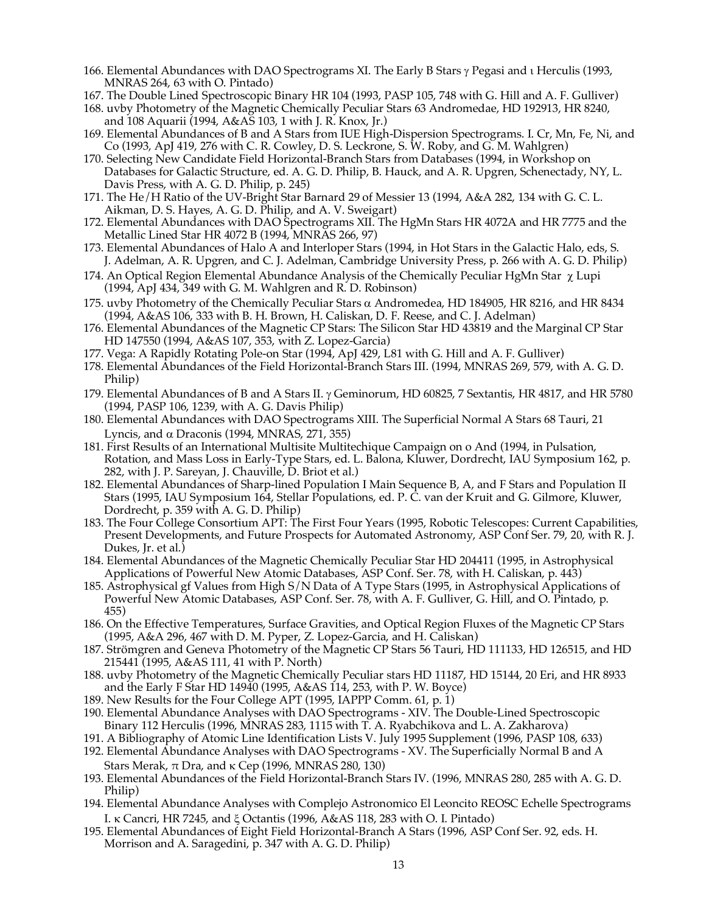- 166. Elemental Abundances with DAO Spectrograms XI. The Early B Stars  $\gamma$  Pegasi and  $\iota$  Herculis (1993, MNRAS 264, 63 with O. Pintado)
- 167. The Double Lined Spectroscopic Binary HR 104 (1993, PASP 105, 748 with G. Hill and A. F. Gulliver)
- 168. uvby Photometry of the Magnetic Chemically Peculiar Stars 63 Andromedae, HD 192913, HR 8240, and 108 Aquarii (1994, A&AS 103, 1 with J. R. Knox, Jr.)
- 169. Elemental Abundances of B and A Stars from IUE High-Dispersion Spectrograms. I. Cr, Mn, Fe, Ni, and Co (1993, ApJ 419, 276 with C. R. Cowley, D. S. Leckrone, S. W. Roby, and G. M. Wahlgren)
- 170. Selecting New Candidate Field Horizontal-Branch Stars from Databases (1994, in Workshop on Databases for Galactic Structure, ed. A. G. D. Philip, B. Hauck, and A. R. Upgren, Schenectady, NY, L. Davis Press, with A. G. D. Philip, p. 245)
- 171. The He/H Ratio of the UV-Bright Star Barnard 29 of Messier 13 (1994, A&A 282, 134 with G. C. L. Aikman, D. S. Hayes, A. G. D. Philip, and A. V. Sweigart)
- 172. Elemental Abundances with DAO Spectrograms XII. The HgMn Stars HR 4072A and HR 7775 and the Metallic Lined Star HR 4072 B (1994, MNRAS 266, 97)
- 173. Elemental Abundances of Halo A and Interloper Stars (1994, in Hot Stars in the Galactic Halo, eds, S. J. Adelman, A. R. Upgren, and C. J. Adelman, Cambridge University Press, p. 266 with A. G. D. Philip)
- 174. An Optical Region Elemental Abundance Analysis of the Chemically Peculiar HgMn Star  $\gamma$  Lupi (1994, ApJ 434, 349 with G. M. Wahlgren and R. D. Robinson)
- 175. uvby Photometry of the Chemically Peculiar Stars a Andromedea, HD 184905, HR 8216, and HR 8434 (1994, A&AS 106, 333 with B. H. Brown, H. Caliskan, D. F. Reese, and C. J. Adelman)
- 176. Elemental Abundances of the Magnetic CP Stars: The Silicon Star HD 43819 and the Marginal CP Star HD 147550 (1994, A&AS 107, 353, with Z. Lopez-Garcia)
- 177. Vega: A Rapidly Rotating Pole-on Star (1994, ApJ 429, L81 with G. Hill and A. F. Gulliver)
- 178. Elemental Abundances of the Field Horizontal-Branch Stars III. (1994, MNRAS 269, 579, with A. G. D. Philip)
- 179. Elemental Abundances of B and A Stars II. g Geminorum, HD 60825, 7 Sextantis, HR 4817, and HR 5780 (1994, PASP 106, 1239, with A. G. Davis Philip)
- 180. Elemental Abundances with DAO Spectrograms XIII. The Superficial Normal A Stars 68 Tauri, 21 Lyncis, and  $\alpha$  Draconis (1994, MNRAS, 271, 355)
- 181. First Results of an International Multisite Multitechique Campaign on o And (1994, in Pulsation, Rotation, and Mass Loss in Early-Type Stars, ed. L. Balona, Kluwer, Dordrecht, IAU Symposium 162, p. 282, with J. P. Sareyan, J. Chauville, D. Briot et al.)
- 182. Elemental Abundances of Sharp-lined Population I Main Sequence B, A, and F Stars and Population II Stars (1995, IAU Symposium 164, Stellar Populations, ed. P. C. van der Kruit and G. Gilmore, Kluwer, Dordrecht, p. 359 with A. G. D. Philip)
- 183. The Four College Consortium APT: The First Four Years (1995, Robotic Telescopes: Current Capabilities, Present Developments, and Future Prospects for Automated Astronomy, ASP Conf Ser. 79, 20, with R. J. Dukes, Ir. et al.)
- 184. Elemental Abundances of the Magnetic Chemically Peculiar Star HD 204411 (1995, in Astrophysical Applications of Powerful New Atomic Databases, ASP Conf. Ser. 78, with H. Caliskan, p. 443)
- 185. Astrophysical gf Values from High S/N Data of A Type Stars (1995, in Astrophysical Applications of Powerful New Atomic Databases, ASP Conf. Ser. 78, with A. F. Gulliver, G. Hill, and O. Pintado, p. 455)
- 186. On the Effective Temperatures, Surface Gravities, and Optical Region Fluxes of the Magnetic CP Stars (1995, A&A 296, 467 with D. M. Pyper, Z. Lopez-Garcia, and H. Caliskan)
- 187. Strömgren and Geneva Photometry of the Magnetic CP Stars 56 Tauri, HD 111133, HD 126515, and HD 215441 (1995, A&AS 111, 41 with P. North)
- 188. uvby Photometry of the Magnetic Chemically Peculiar stars HD 11187, HD 15144, 20 Eri, and HR 8933 and the Early F Star HD 14940 (1995, A&AS 114, 253, with P. W. Boyce)
- 189. New Results for the Four College APT (1995, IAPPP Comm. 61, p. 1)
- 190. Elemental Abundance Analyses with DAO Spectrograms XIV. The Double-Lined Spectroscopic Binary 112 Herculis (1996, MNRAS 283, 1115 with T. A. Ryabchikova and L. A. Zakharova)
- 191. A Bibliography of Atomic Line Identification Lists V. July 1995 Supplement (1996, PASP 108, 633)
- 192. Elemental Abundance Analyses with DAO Spectrograms XV. The Superficially Normal B and A Stars Merak,  $\pi$  Dra, and  $\kappa$  Cep (1996, MNRAS 280, 130)
- 193. Elemental Abundances of the Field Horizontal-Branch Stars IV. (1996, MNRAS 280, 285 with A. G. D. Philip)
- 194. Elemental Abundance Analyses with Complejo Astronomico El Leoncito REOSC Echelle Spectrograms I. k Cancri, HR 7245, and  $\xi$  Octantis (1996, A&AS 118, 283 with O. I. Pintado)
- 195. Elemental Abundances of Eight Field Horizontal-Branch A Stars (1996, ASP Conf Ser. 92, eds. H. Morrison and A. Saragedini, p. 347 with A. G. D. Philip)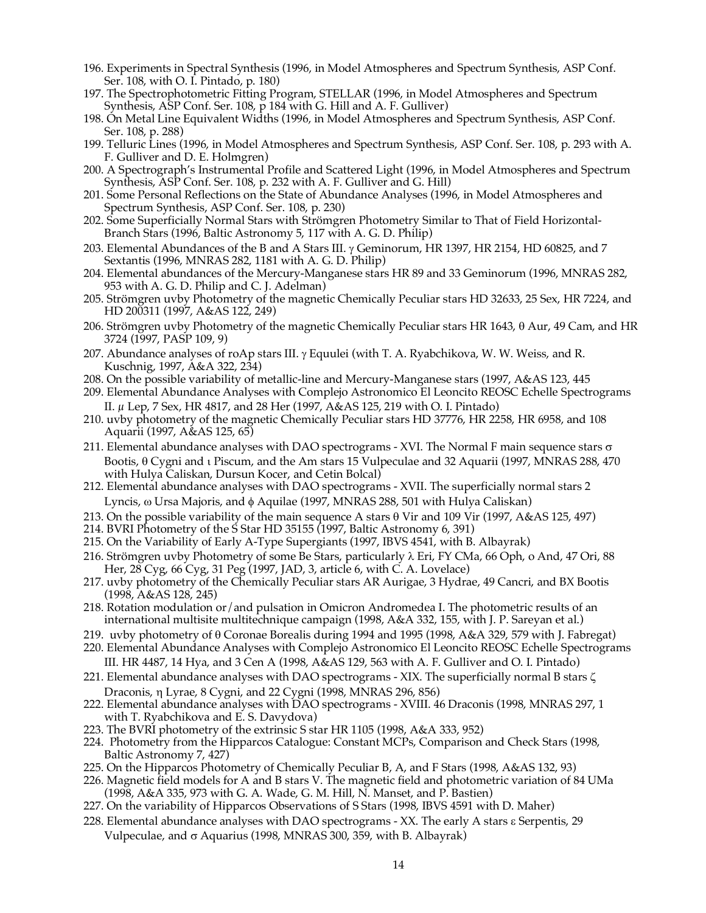- 196. Experiments in Spectral Synthesis (1996, in Model Atmospheres and Spectrum Synthesis, ASP Conf. Ser. 108, with O. I. Pintado, p. 180)
- 197. The Spectrophotometric Fitting Program, STELLAR (1996, in Model Atmospheres and Spectrum Synthesis, ASP Conf. Ser. 108, p 184 with G. Hill and A. F. Gulliver)
- 198. On Metal Line Equivalent Widths (1996, in Model Atmospheres and Spectrum Synthesis, ASP Conf. Ser. 108, p. 288)
- 199. Telluric Lines (1996, in Model Atmospheres and Spectrum Synthesis, ASP Conf. Ser. 108, p. 293 with A. F. Gulliver and D. E. Holmgren)
- 200. A Spectrograph's Instrumental Profile and Scattered Light (1996, in Model Atmospheres and Spectrum Synthesis, ASP Conf. Ser. 108, p. 232 with A. F. Gulliver and G. Hill)
- 201. Some Personal Reflections on the State of Abundance Analyses (1996, in Model Atmospheres and Spectrum Synthesis, ASP Conf. Ser. 108, p. 230)
- 202. Some Superficially Normal Stars with Strömgren Photometry Similar to That of Field Horizontal-Branch Stars (1996, Baltic Astronomy 5, 117 with A. G. D. Philip)
- 203. Elemental Abundances of the B and A Stars III.  $\gamma$  Geminorum, HR 1397, HR 2154, HD 60825, and 7 Sextantis (1996, MNRAS 282, 1181 with A. G. D. Philip)
- 204. Elemental abundances of the Mercury-Manganese stars HR 89 and 33 Geminorum (1996, MNRAS 282, 953 with A. G. D. Philip and C. J. Adelman)
- 205. Strömgren uvby Photometry of the magnetic Chemically Peculiar stars HD 32633, 25 Sex, HR 7224, and HD 200311 (1997, A&AS 122, 249)
- 206. Strömgren uvby Photometry of the magnetic Chemically Peculiar stars HR 1643,  $\theta$  Aur, 49 Cam, and HR 3724 (1997, PASP 109, 9)
- 207. Abundance analyses of roAp stars III.  $\gamma$  Equulei (with T. A. Ryabchikova, W. W. Weiss, and R. Kuschnig, 1997, A&A 322, 234)
- 208. On the possible variability of metallic-line and Mercury-Manganese stars (1997, A&AS 123, 445
- 209. Elemental Abundance Analyses with Complejo Astronomico El Leoncito REOSC Echelle Spectrograms II. µ Lep, 7 Sex, HR 4817, and 28 Her (1997, A&AS 125, 219 with O. I. Pintado)
- 210. uvby photometry of the magnetic Chemically Peculiar stars HD 37776, HR 2258, HR 6958, and 108 Aquarii (1997, A&AS 125, 65)
- 211. Elemental abundance analyses with DAO spectrograms XVI. The Normal F main sequence stars  $\sigma$ Bootis, q Cygni and i Piscum, and the Am stars 15 Vulpeculae and 32 Aquarii (1997, MNRAS 288, 470 with Hulya Caliskan, Dursun Kocer, and Cetin Bolcal)
- 212. Elemental abundance analyses with DAO spectrograms XVII. The superficially normal stars 2 Lyncis,  $\omega$  Ursa Majoris, and  $\phi$  Aquilae (1997, MNRAS 288, 501 with Hulya Caliskan)
- 213. On the possible variability of the main sequence A stars  $\theta$  Vir and 109 Vir (1997, A&AS 125, 497)
- 214. BVRI Photometry of the S Star HD 35155 (1997, Baltic Astronomy 6, 391)
- 215. On the Variability of Early A-Type Supergiants (1997, IBVS 4541, with B. Albayrak)
- 216. Strömgren uvby Photometry of some Be Stars, particularly  $\lambda$  Eri, FY CMa, 66 Oph, o And, 47 Ori, 88 Her, 28 Cyg, 66 Cyg, 31 Peg (1997, JAD, 3, article 6, with C. A. Lovelace)
- 217. uvby photometry of the Chemically Peculiar stars AR Aurigae, 3 Hydrae, 49 Cancri, and BX Bootis (1998, A&AS 128, 245)
- 218. Rotation modulation or/and pulsation in Omicron Andromedea I. The photometric results of an international multisite multitechnique campaign (1998, A&A 332, 155, with J. P. Sareyan et al.)
- 219. uvby photometry of  $\theta$  Coronae Borealis during 1994 and 1995 (1998, A&A 329, 579 with J. Fabregat)
- 220. Elemental Abundance Analyses with Complejo Astronomico El Leoncito REOSC Echelle Spectrograms III. HR 4487, 14 Hya, and 3 Cen A (1998, A&AS 129, 563 with A. F. Gulliver and O. I. Pintado)
- 221. Elemental abundance analyses with DAO spectrograms XIX. The superficially normal B stars  $\zeta$ Draconis, h Lyrae, 8 Cygni, and 22 Cygni (1998, MNRAS 296, 856)
- 222. Elemental abundance analyses with DAO spectrograms XVIII. 46 Draconis (1998, MNRAS 297, 1 with T. Ryabchikova and E. S. Davydova)
- 223. The BVRI photometry of the extrinsic S star HR 1105 (1998, A&A 333, 952)
- 224. Photometry from the Hipparcos Catalogue: Constant MCPs, Comparison and Check Stars (1998, Baltic Astronomy 7, 427)
- 225. On the Hipparcos Photometry of Chemically Peculiar B, A, and F Stars (1998, A&AS 132, 93)
- 226. Magnetic field models for A and B stars V. The magnetic field and photometric variation of 84 UMa (1998, A&A 335, 973 with G. A. Wade, G. M. Hill, N. Manset, and P. Bastien)
- 227. On the variability of Hipparcos Observations of S Stars (1998, IBVS 4591 with D. Maher)
- 228. Elemental abundance analyses with DAO spectrograms XX. The early A stars e Serpentis, 29 Vulpeculae, and  $\sigma$  Aquarius (1998, MNRAS 300, 359, with B. Albayrak)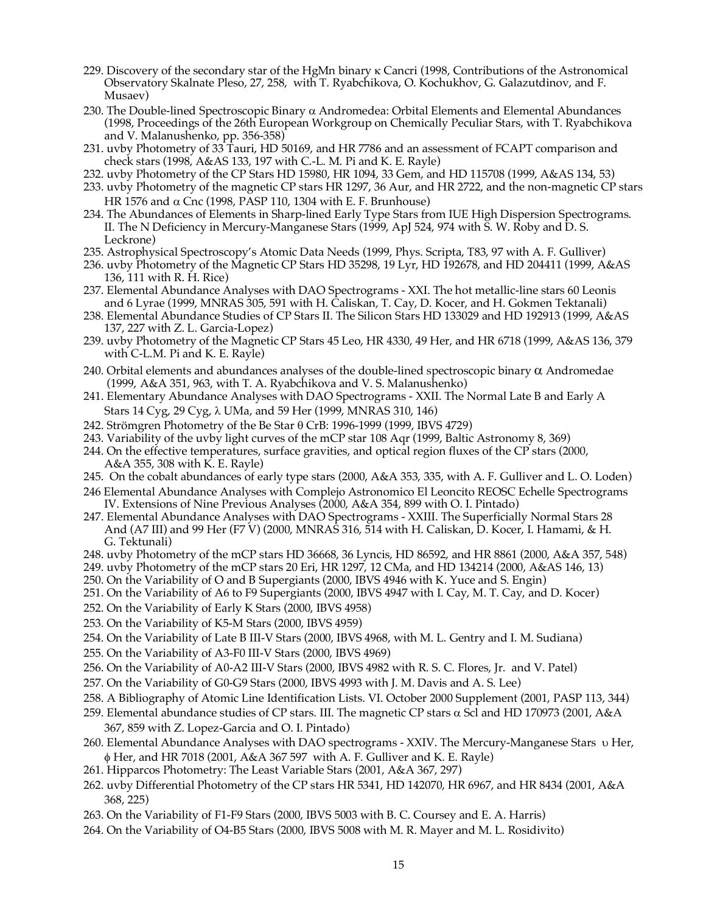- 229. Discovery of the secondary star of the HgMn binary k Cancri (1998, Contributions of the Astronomical Observatory Skalnate Pleso, 27, 258, with T. Ryabchikova, O. Kochukhov, G. Galazutdinov, and F. Musaev)
- 230. The Double-lined Spectroscopic Binary  $\alpha$  Andromedea: Orbital Elements and Elemental Abundances (1998, Proceedings of the 26th European Workgroup on Chemically Peculiar Stars, with T. Ryabchikova and V. Malanushenko, pp. 356-358)
- 231. uvby Photometry of 33 Tauri, HD 50169, and HR 7786 and an assessment of FCAPT comparison and check stars (1998, A&AS 133, 197 with C.-L. M. Pi and K. E. Rayle)
- 232. uvby Photometry of the CP Stars HD 15980, HR 1094, 33 Gem, and HD 115708 (1999, A&AS 134, 53)
- 233. uvby Photometry of the magnetic CP stars HR 1297, 36 Aur, and HR 2722, and the non-magnetic CP stars HR 1576 and  $\alpha$  Cnc (1998, PASP 110, 1304 with E. F. Brunhouse)
- 234. The Abundances of Elements in Sharp-lined Early Type Stars from IUE High Dispersion Spectrograms. II. The N Deficiency in Mercury-Manganese Stars (1999, ApJ 524, 974 with S. W. Roby and D. S. Leckrone)
- 235. Astrophysical Spectroscopy's Atomic Data Needs (1999, Phys. Scripta, T83, 97 with A. F. Gulliver)
- 236. uvby Photometry of the Magnetic CP Stars HD 35298, 19 Lyr, HD 192678, and HD 204411 (1999, A&AS 136, 111 with R. H. Rice)
- 237. Elemental Abundance Analyses with DAO Spectrograms XXI. The hot metallic-line stars 60 Leonis and 6 Lyrae (1999, MNRAS 305, 591 with H. Caliskan, T. Cay, D. Kocer, and H. Gokmen Tektanali)
- 238. Elemental Abundance Studies of CP Stars II. The Silicon Stars HD 133029 and HD 192913 (1999, A&AS 137, 227 with Z. L. Garcia-Lopez)
- 239. uvby Photometry of the Magnetic CP Stars 45 Leo, HR 4330, 49 Her, and HR 6718 (1999, A&AS 136, 379 with C-L.M. Pi and K. E. Rayle)
- 240. Orbital elements and abundances analyses of the double-lined spectroscopic binary  $\alpha$  Andromedae (1999, A&A 351, 963, with T. A. Ryabchikova and V. S. Malanushenko)
- 241. Elementary Abundance Analyses with DAO Spectrograms XXII. The Normal Late B and Early A Stars 14 Cyg, 29 Cyg, λ UMa, and 59 Her (1999, MNRAS 310, 146)
- 242. Strömgren Photometry of the Be Star q CrB: 1996-1999 (1999, IBVS 4729)
- 243. Variability of the uvby light curves of the mCP star 108 Aqr (1999, Baltic Astronomy 8, 369)
- 244. On the effective temperatures, surface gravities, and optical region fluxes of the CP stars (2000, A&A 355, 308 with K. E. Rayle)
- 245. On the cobalt abundances of early type stars (2000, A&A 353, 335, with A. F. Gulliver and L. O. Loden)
- 246 Elemental Abundance Analyses with Complejo Astronomico El Leoncito REOSC Echelle Spectrograms IV. Extensions of Nine Previous Analyses (2000, A&A 354, 899 with O. I. Pintado)
- 247. Elemental Abundance Analyses with DAO Spectrograms XXIII. The Superficially Normal Stars 28 And (A7 III) and 99 Her (F7 V) (2000, MNRAS 316, 514 with H. Caliskan, D. Kocer, I. Hamami, & H. G. Tektunali)
- 248. uvby Photometry of the mCP stars HD 36668, 36 Lyncis, HD 86592, and HR 8861 (2000, A&A 357, 548)
- 249. uvby Photometry of the mCP stars 20 Eri, HR 1297, 12 CMa, and HD 134214 (2000, A&AS 146, 13)
- 250. On the Variability of O and B Supergiants (2000, IBVS 4946 with K. Yuce and S. Engin)
- 251. On the Variability of A6 to F9 Supergiants (2000, IBVS 4947 with I. Cay, M. T. Cay, and D. Kocer)
- 252. On the Variability of Early K Stars (2000, IBVS 4958)
- 253. On the Variability of K5-M Stars (2000, IBVS 4959)
- 254. On the Variability of Late B III-V Stars (2000, IBVS 4968, with M. L. Gentry and I. M. Sudiana)
- 255. On the Variability of A3-F0 III-V Stars (2000, IBVS 4969)
- 256. On the Variability of A0-A2 III-V Stars (2000, IBVS 4982 with R. S. C. Flores, Jr. and V. Patel)
- 257. On the Variability of G0-G9 Stars (2000, IBVS 4993 with J. M. Davis and A. S. Lee)
- 258. A Bibliography of Atomic Line Identification Lists. VI. October 2000 Supplement (2001, PASP 113, 344)
- 259. Elemental abundance studies of CP stars. III. The magnetic CP stars  $\alpha$  Scl and HD 170973 (2001, A&A 367, 859 with Z. Lopez-Garcia and O. I. Pintado)
- 260. Elemental Abundance Analyses with DAO spectrograms XXIV. The Mercury-Manganese Stars u Her,  $\phi$  Her, and HR 7018 (2001, A&A 367 597 with A. F. Gulliver and K. E. Rayle)
- 261. Hipparcos Photometry: The Least Variable Stars (2001, A&A 367, 297)
- 262. uvby Differential Photometry of the CP stars HR 5341, HD 142070, HR 6967, and HR 8434 (2001, A&A 368, 225)
- 263. On the Variability of F1-F9 Stars (2000, IBVS 5003 with B. C. Coursey and E. A. Harris)
- 264. On the Variability of O4-B5 Stars (2000, IBVS 5008 with M. R. Mayer and M. L. Rosidivito)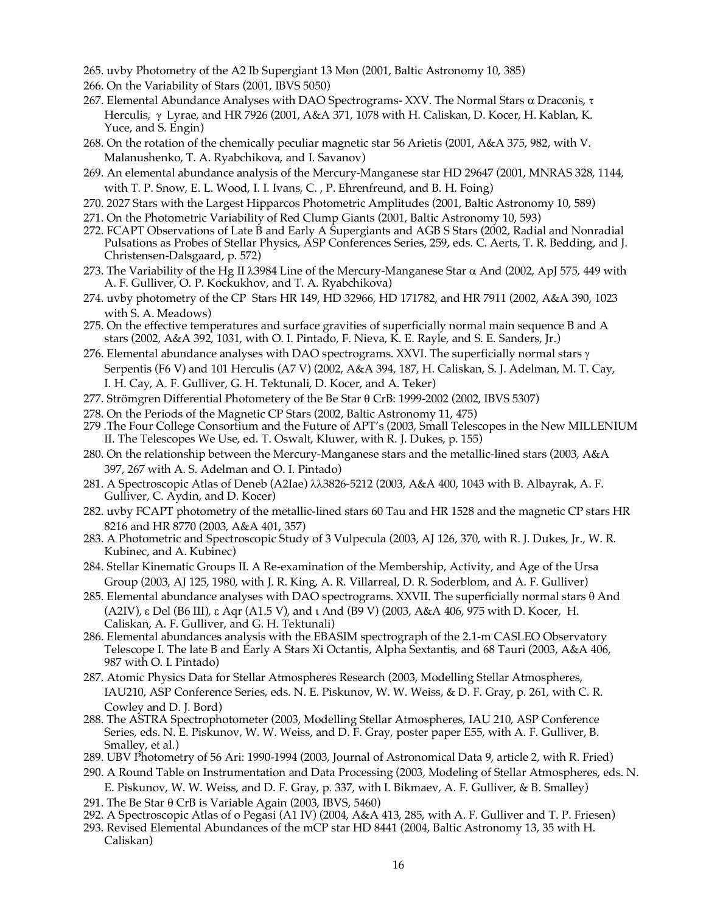- 265. uvby Photometry of the A2 Ib Supergiant 13 Mon (2001, Baltic Astronomy 10, 385)
- 266. On the Variability of Stars (2001, IBVS 5050)
- 267. Elemental Abundance Analyses with DAO Spectrograms- XXV. The Normal Stars  $\alpha$  Draconis,  $\tau$ Herculis,  $\gamma$  Lyrae, and HR 7926 (2001, A&A 371, 1078 with H. Caliskan, D. Kocer, H. Kablan, K. Yuce, and S. Engin)
- 268. On the rotation of the chemically peculiar magnetic star 56 Arietis (2001, A&A 375, 982, with V. Malanushenko, T. A. Ryabchikova, and I. Savanov)
- 269. An elemental abundance analysis of the Mercury-Manganese star HD 29647 (2001, MNRAS 328, 1144, with T. P. Snow, E. L. Wood, I. I. Ivans, C. , P. Ehrenfreund, and B. H. Foing)
- 270. 2027 Stars with the Largest Hipparcos Photometric Amplitudes (2001, Baltic Astronomy 10, 589)
- 271. On the Photometric Variability of Red Clump Giants (2001, Baltic Astronomy 10, 593)
- 272. FCAPT Observations of Late B and Early A Supergiants and AGB S Stars (2002, Radial and Nonradial Pulsations as Probes of Stellar Physics, ASP Conferences Series, 259, eds. C. Aerts, T. R. Bedding, and J. Christensen-Dalsgaard, p. 572)
- 273. The Variability of the Hg II  $\lambda$ 3984 Line of the Mercury-Manganese Star  $\alpha$  And (2002, ApJ 575, 449 with A. F. Gulliver, O. P. Kockukhov, and T. A. Ryabchikova)
- 274. uvby photometry of the CP Stars HR 149, HD 32966, HD 171782, and HR 7911 (2002, A&A 390, 1023 with S. A. Meadows)
- 275. On the effective temperatures and surface gravities of superficially normal main sequence B and A stars (2002, A&A 392, 1031, with O. I. Pintado, F. Nieva, K. E. Rayle, and S. E. Sanders, Jr.)
- 276. Elemental abundance analyses with DAO spectrograms. XXVI. The superficially normal stars  $\gamma$ Serpentis (F6 V) and 101 Herculis (A7 V) (2002, A&A 394, 187, H. Caliskan, S. J. Adelman, M. T. Cay, I. H. Cay, A. F. Gulliver, G. H. Tektunali, D. Kocer, and A. Teker)
- 277. Strömgren Differential Photometery of the Be Star q CrB: 1999-2002 (2002, IBVS 5307)
- 278. On the Periods of the Magnetic CP Stars (2002, Baltic Astronomy 11, 475)
- 279 .The Four College Consortium and the Future of APT's (2003, Small Telescopes in the New MILLENIUM II. The Telescopes We Use, ed. T. Oswalt, Kluwer, with R. J. Dukes, p. 155)
- 280. On the relationship between the Mercury-Manganese stars and the metallic-lined stars (2003, A&A 397, 267 with A. S. Adelman and O. I. Pintado)
- 281. A Spectroscopic Atlas of Deneb (A2Iae) λλ3826-5212 (2003, A&A 400, 1043 with B. Albayrak, A. F. Gulliver, C. Aydin, and D. Kocer)
- 282. uvby FCAPT photometry of the metallic-lined stars 60 Tau and HR 1528 and the magnetic CP stars HR 8216 and HR 8770 (2003, A&A 401, 357)
- 283. A Photometric and Spectroscopic Study of 3 Vulpecula (2003, AJ 126, 370, with R. J. Dukes, Jr., W. R. Kubinec, and A. Kubinec)
- 284. Stellar Kinematic Groups II. A Re-examination of the Membership, Activity, and Age of the Ursa Group (2003, AJ 125, 1980, with J. R. King, A. R. Villarreal, D. R. Soderblom, and A. F. Gulliver)
- 285. Elemental abundance analyses with DAO spectrograms. XXVII. The superficially normal stars  $\theta$  And (A2IV), e Del (B6 III), e Aqr (A1.5 V), and i And (B9 V) (2003, A&A 406, 975 with D. Kocer, H. Caliskan, A. F. Gulliver, and G. H. Tektunali)
- 286. Elemental abundances analysis with the EBASIM spectrograph of the 2.1-m CASLEO Observatory Telescope I. The late B and Early A Stars Xi Octantis, Alpha Sextantis, and 68 Tauri (2003, A&A 406, 987 with O. I. Pintado)
- 287. Atomic Physics Data for Stellar Atmospheres Research (2003, Modelling Stellar Atmospheres, IAU210, ASP Conference Series, eds. N. E. Piskunov, W. W. Weiss, & D. F. Gray, p. 261, with C. R. Cowley and D. J. Bord)
- 288. The ASTRA Spectrophotometer (2003, Modelling Stellar Atmospheres, IAU 210, ASP Conference Series, eds. N. E. Piskunov, W. W. Weiss, and D. F. Gray, poster paper E55, with A. F. Gulliver, B. Smalley, et al.)
- 289. UBV Photometry of 56 Ari: 1990-1994 (2003, Journal of Astronomical Data 9, article 2, with R. Fried)
- 290. A Round Table on Instrumentation and Data Processing (2003, Modeling of Stellar Atmospheres, eds. N. E. Piskunov, W. W. Weiss, and D. F. Gray, p. 337, with I. Bikmaev, A. F. Gulliver, & B. Smalley)
- 291. The Be Star  $\theta$  CrB is Variable Again (2003, IBVS, 5460)
- 292. A Spectroscopic Atlas of o Pegasi (A1 IV) (2004, A&A 413, 285, with A. F. Gulliver and T. P. Friesen)
- 293. Revised Elemental Abundances of the mCP star HD 8441 (2004, Baltic Astronomy 13, 35 with H. Caliskan)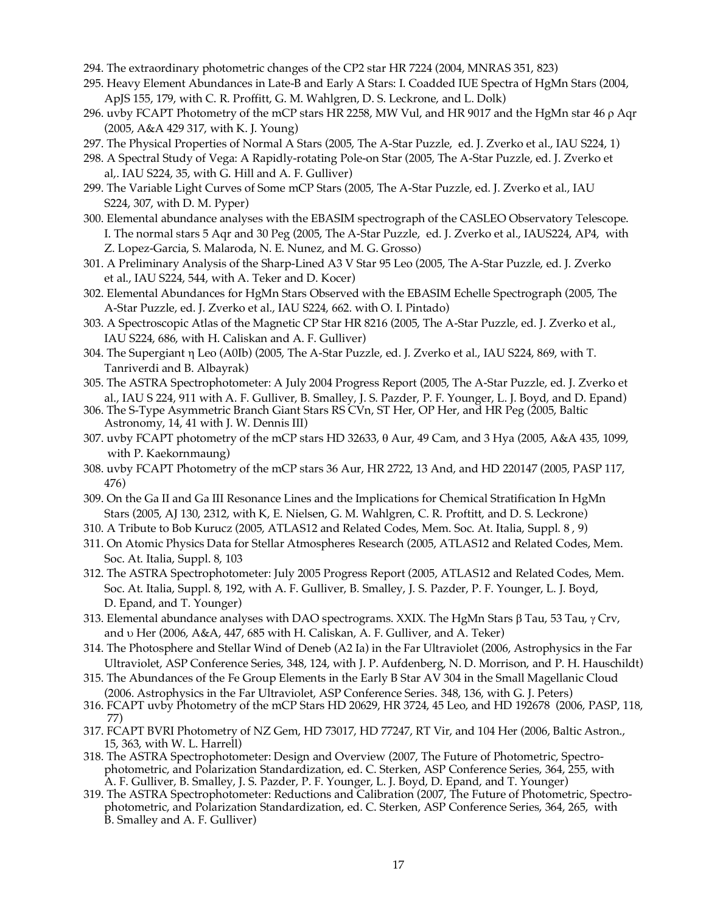- 294. The extraordinary photometric changes of the CP2 star HR 7224 (2004, MNRAS 351, 823)
- 295. Heavy Element Abundances in Late-B and Early A Stars: I. Coadded IUE Spectra of HgMn Stars (2004, ApJS 155, 179, with C. R. Proffitt, G. M. Wahlgren, D. S. Leckrone, and L. Dolk)
- 296. uvby FCAPT Photometry of the mCP stars HR 2258, MW Vul, and HR 9017 and the HgMn star 46 p Aqr (2005, A&A 429 317, with K. J. Young)
- 297. The Physical Properties of Normal A Stars (2005, The A-Star Puzzle, ed. J. Zverko et al., IAU S224, 1)
- 298. A Spectral Study of Vega: A Rapidly-rotating Pole-on Star (2005, The A-Star Puzzle, ed. J. Zverko et al,. IAU S224, 35, with G. Hill and A. F. Gulliver)
- 299. The Variable Light Curves of Some mCP Stars (2005, The A-Star Puzzle, ed. J. Zverko et al., IAU S224, 307, with D. M. Pyper)
- 300. Elemental abundance analyses with the EBASIM spectrograph of the CASLEO Observatory Telescope. I. The normal stars 5 Aqr and 30 Peg (2005, The A-Star Puzzle, ed. J. Zverko et al., IAUS224, AP4, with Z. Lopez-Garcia, S. Malaroda, N. E. Nunez, and M. G. Grosso)
- 301. A Preliminary Analysis of the Sharp-Lined A3 V Star 95 Leo (2005, The A-Star Puzzle, ed. J. Zverko et al., IAU S224, 544, with A. Teker and D. Kocer)
- 302. Elemental Abundances for HgMn Stars Observed with the EBASIM Echelle Spectrograph (2005, The A-Star Puzzle, ed. J. Zverko et al., IAU S224, 662. with O. I. Pintado)
- 303. A Spectroscopic Atlas of the Magnetic CP Star HR 8216 (2005, The A-Star Puzzle, ed. J. Zverko et al., IAU S224, 686, with H. Caliskan and A. F. Gulliver)
- 304. The Supergiant h Leo (A0Ib) (2005, The A-Star Puzzle, ed. J. Zverko et al., IAU S224, 869, with T. Tanriverdi and B. Albayrak)
- 305. The ASTRA Spectrophotometer: A July 2004 Progress Report (2005, The A-Star Puzzle, ed. J. Zverko et al., IAU S 224, 911 with A. F. Gulliver, B. Smalley, J. S. Pazder, P. F. Younger, L. J. Boyd, and D. Epand)
- 306. The S-Type Asymmetric Branch Giant Stars RS CVn, ST Her, OP Her, and HR Peg (2005, Baltic Astronomy, 14, 41 with J. W. Dennis III)
- 307. uvby FCAPT photometry of the mCP stars HD 32633, q Aur, 49 Cam, and 3 Hya (2005, A&A 435, 1099, with P. Kaekornmaung)
- 308. uvby FCAPT Photometry of the mCP stars 36 Aur, HR 2722, 13 And, and HD 220147 (2005, PASP 117, 476)
- 309. On the Ga II and Ga III Resonance Lines and the Implications for Chemical Stratification In HgMn Stars (2005, AJ 130, 2312, with K, E. Nielsen, G. M. Wahlgren, C. R. Proftitt, and D. S. Leckrone)
- 310. A Tribute to Bob Kurucz (2005, ATLAS12 and Related Codes, Mem. Soc. At. Italia, Suppl. 8 , 9)
- 311. On Atomic Physics Data for Stellar Atmospheres Research (2005, ATLAS12 and Related Codes, Mem. Soc. At. Italia, Suppl. 8, 103
- 312. The ASTRA Spectrophotometer: July 2005 Progress Report (2005, ATLAS12 and Related Codes, Mem. Soc. At. Italia, Suppl. 8, 192, with A. F. Gulliver, B. Smalley, J. S. Pazder, P. F. Younger, L. J. Boyd, D. Epand, and T. Younger)
- 313. Elemental abundance analyses with DAO spectrograms. XXIX. The HgMn Stars  $\beta$  Tau, 53 Tau,  $\gamma$  Crv, and u Her (2006, A&A, 447, 685 with H. Caliskan, A. F. Gulliver, and A. Teker)
- 314. The Photosphere and Stellar Wind of Deneb (A2 Ia) in the Far Ultraviolet (2006, Astrophysics in the Far Ultraviolet, ASP Conference Series, 348, 124, with J. P. Aufdenberg, N. D. Morrison, and P. H. Hauschildt)
- 315. The Abundances of the Fe Group Elements in the Early B Star AV 304 in the Small Magellanic Cloud (2006. Astrophysics in the Far Ultraviolet, ASP Conference Series. 348, 136, with G. J. Peters)
- 316. FCAPT uvby Photometry of the mCP Stars HD 20629, HR 3724, 45 Leo, and HD 192678 (2006, PASP, 118, 77)
- 317. FCAPT BVRI Photometry of NZ Gem, HD 73017, HD 77247, RT Vir, and 104 Her (2006, Baltic Astron., 15, 363, with W. L. Harrell)
- 318. The ASTRA Spectrophotometer: Design and Overview (2007, The Future of Photometric, Spectrophotometric, and Polarization Standardization, ed. C. Sterken, ASP Conference Series, 364, 255, with A. F. Gulliver, B. Smalley, J. S. Pazder, P. F. Younger, L. J. Boyd, D. Epand, and T. Younger)
- 319. The ASTRA Spectrophotometer: Reductions and Calibration (2007, The Future of Photometric, Spectrophotometric, and Polarization Standardization, ed. C. Sterken, ASP Conference Series, 364, 265, with B. Smalley and A. F. Gulliver)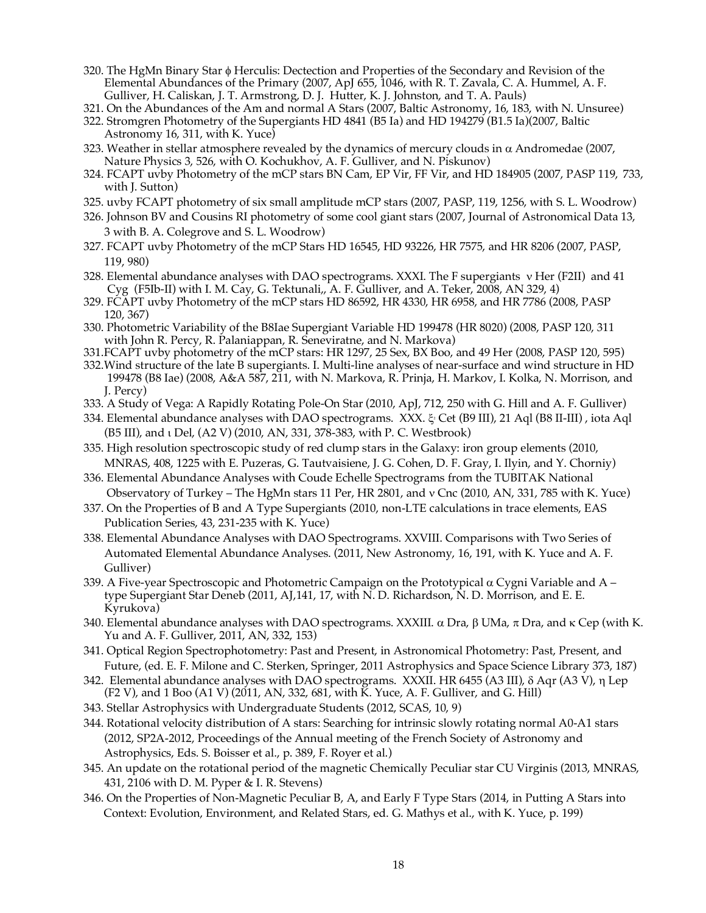- 320. The HgMn Binary Star  $\phi$  Herculis: Dectection and Properties of the Secondary and Revision of the Elemental Abundances of the Primary (2007, ApJ 655, 1046, with R. T. Zavala, C. A. Hummel, A. F. Gulliver, H. Caliskan, J. T. Armstrong, D. J. Hutter, K. J. Johnston, and T. A. Pauls)
- 321. On the Abundances of the Am and normal A Stars (2007, Baltic Astronomy, 16, 183, with N. Unsuree)
- 322. Stromgren Photometry of the Supergiants HD 4841 (B5 Ia) and HD 194279 (B1.5 Ia)(2007, Baltic Astronomy 16, 311, with K. Yuce)
- 323. Weather in stellar atmosphere revealed by the dynamics of mercury clouds in  $\alpha$  Andromedae (2007, Nature Physics 3, 526, with O. Kochukhov, A. F. Gulliver, and N. Piskunov)
- 324. FCAPT uvby Photometry of the mCP stars BN Cam, EP Vir, FF Vir, and HD 184905 (2007, PASP 119, 733, with J. Sutton)
- 325. uvby FCAPT photometry of six small amplitude mCP stars (2007, PASP, 119, 1256, with S. L. Woodrow)
- 326. Johnson BV and Cousins RI photometry of some cool giant stars (2007, Journal of Astronomical Data 13, 3 with B. A. Colegrove and S. L. Woodrow)
- 327. FCAPT uvby Photometry of the mCP Stars HD 16545, HD 93226, HR 7575, and HR 8206 (2007, PASP, 119, 980)
- 328. Elemental abundance analyses with DAO spectrograms. XXXI. The F supergiants  $v$  Her (F2II) and 41 Cyg (F5Ib-II) with I. M. Cay, G. Tektunali,, A. F. Gulliver, and A. Teker, 2008, AN 329, 4)
- 329. FCAPT uvby Photometry of the mCP stars HD 86592, HR 4330, HR 6958, and HR 7786 (2008, PASP 120, 367)
- 330. Photometric Variability of the B8Iae Supergiant Variable HD 199478 (HR 8020) (2008, PASP 120, 311 with John R. Percy, R. Palaniappan, R. Seneviratne, and N. Markova)
- 331.FCAPT uvby photometry of the mCP stars: HR 1297, 25 Sex, BX Boo, and 49 Her (2008, PASP 120, 595)
- 332.Wind structure of the late B supergiants. I. Multi-line analyses of near-surface and wind structure in HD 199478 (B8 Iae) (2008, A&A 587, 211, with N. Markova, R. Prinja, H. Markov, I. Kolka, N. Morrison, and J. Percy)
- 333. A Study of Vega: A Rapidly Rotating Pole-On Star (2010, ApJ, 712, 250 with G. Hill and A. F. Gulliver)
- 334. Elemental abundance analyses with DAO spectrograms. XXX. & Cet (B9 III), 21 Aql (B8 II-III), iota Aql (B5 III), and i Del, (A2 V) (2010, AN, 331, 378-383, with P. C. Westbrook)
- 335. High resolution spectroscopic study of red clump stars in the Galaxy: iron group elements (2010, MNRAS, 408, 1225 with E. Puzeras, G. Tautvaisiene, J. G. Cohen, D. F. Gray, I. Ilyin, and Y. Chorniy)
- 336. Elemental Abundance Analyses with Coude Echelle Spectrograms from the TUBITAK National Observatory of Turkey – The HgMn stars 11 Per, HR 2801, and v Cnc (2010, AN, 331, 785 with K. Yuce)
- 337. On the Properties of B and A Type Supergiants (2010, non-LTE calculations in trace elements, EAS Publication Series, 43, 231-235 with K. Yuce)
- 338. Elemental Abundance Analyses with DAO Spectrograms. XXVIII. Comparisons with Two Series of Automated Elemental Abundance Analyses. (2011, New Astronomy, 16, 191, with K. Yuce and A. F. Gulliver)
- 339. A Five-year Spectroscopic and Photometric Campaign on the Prototypical  $\alpha$  Cygni Variable and A type Supergiant Star Deneb (2011, AJ,141, 17, with N. D. Richardson, N. D. Morrison, and E. E. Kyrukova)
- 340. Elemental abundance analyses with DAO spectrograms. XXXIII.  $\alpha$  Dra,  $\beta$  UMa,  $\pi$  Dra, and  $\kappa$  Cep (with K. Yu and A. F. Gulliver, 2011, AN, 332, 153)
- 341. Optical Region Spectrophotometry: Past and Present, in Astronomical Photometry: Past, Present, and Future, (ed. E. F. Milone and C. Sterken, Springer, 2011 Astrophysics and Space Science Library 373, 187)
- 342. Elemental abundance analyses with DAO spectrograms. XXXII. HR 6455 (A3 III),  $\delta$  Aqr (A3 V), n Lep (F2 V), and 1 Boo (A1 V) (2011, AN, 332, 681, with K. Yuce, A. F. Gulliver, and G. Hill)
- 343. Stellar Astrophysics with Undergraduate Students (2012, SCAS, 10, 9)
- 344. Rotational velocity distribution of A stars: Searching for intrinsic slowly rotating normal A0-A1 stars (2012, SP2A-2012, Proceedings of the Annual meeting of the French Society of Astronomy and Astrophysics, Eds. S. Boisser et al., p. 389, F. Royer et al.)
- 345. An update on the rotational period of the magnetic Chemically Peculiar star CU Virginis (2013, MNRAS, 431, 2106 with D. M. Pyper & I. R. Stevens)
- 346. On the Properties of Non-Magnetic Peculiar B, A, and Early F Type Stars (2014, in Putting A Stars into Context: Evolution, Environment, and Related Stars, ed. G. Mathys et al., with K. Yuce, p. 199)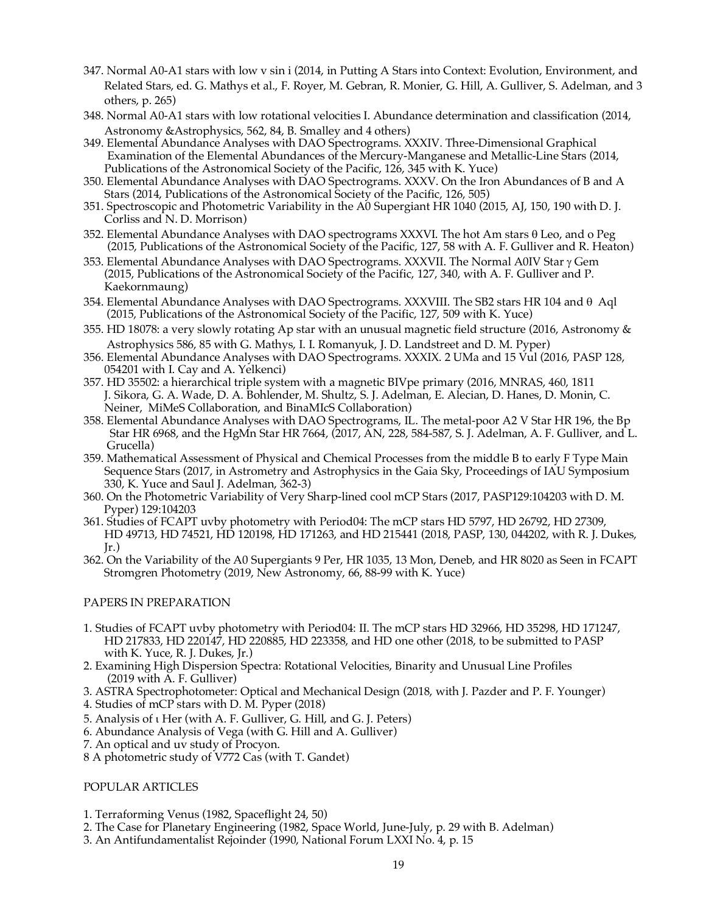- 347. Normal A0-A1 stars with low v sin i (2014, in Putting A Stars into Context: Evolution, Environment, and Related Stars, ed. G. Mathys et al., F. Royer, M. Gebran, R. Monier, G. Hill, A. Gulliver, S. Adelman, and 3 others, p. 265)
- 348. Normal A0-A1 stars with low rotational velocities I. Abundance determination and classification (2014, Astronomy &Astrophysics, 562, 84, B. Smalley and 4 others)
- 349. Elemental Abundance Analyses with DAO Spectrograms. XXXIV. Three-Dimensional Graphical Examination of the Elemental Abundances of the Mercury-Manganese and Metallic-Line Stars (2014, Publications of the Astronomical Society of the Pacific, 126, 345 with K. Yuce)
- 350. Elemental Abundance Analyses with DAO Spectrograms. XXXV. On the Iron Abundances of B and A Stars (2014, Publications of the Astronomical Society of the Pacific, 126, 505)
- 351. Spectroscopic and Photometric Variability in the A0 Supergiant HR 1040 (2015, AJ, 150, 190 with D. J. Corliss and N. D. Morrison)
- 352. Elemental Abundance Analyses with DAO spectrograms XXXVI. The hot Am stars  $\theta$  Leo, and o Peg (2015, Publications of the Astronomical Society of the Pacific, 127, 58 with A. F. Gulliver and R. Heaton)
- 353. Elemental Abundance Analyses with DAO Spectrograms. XXXVII. The Normal A0IV Star  $\gamma$  Gem (2015, Publications of the Astronomical Society of the Pacific, 127, 340, with A. F. Gulliver and P. Kaekornmaung)
- 354. Elemental Abundance Analyses with DAO Spectrograms. XXXVIII. The SB2 stars HR 104 and  $\theta$  Aql (2015, Publications of the Astronomical Society of the Pacific, 127, 509 with K. Yuce)
- 355. HD 18078: a very slowly rotating Ap star with an unusual magnetic field structure (2016, Astronomy & Astrophysics 586, 85 with G. Mathys, I. I. Romanyuk, J. D. Landstreet and D. M. Pyper)
- 356. Elemental Abundance Analyses with DAO Spectrograms. XXXIX. 2 UMa and 15 Vul (2016, PASP 128, 054201 with I. Cay and A. Yelkenci)
- 357. HD 35502: a hierarchical triple system with a magnetic BIVpe primary (2016, MNRAS, 460, 1811 J. Sikora, G. A. Wade, D. A. Bohlender, M. Shultz, S. J. Adelman, E. Alecian, D. Hanes, D. Monin, C. Neiner, MiMeS Collaboration, and BinaMIcS Collaboration)
- 358. Elemental Abundance Analyses with DAO Spectrograms, IL. The metal-poor A2 V Star HR 196, the Bp Star HR 6968, and the HgMn Star HR 7664, (2017, AN, 228, 584-587, S. J. Adelman, A. F. Gulliver, and L. Grucella)
- 359. Mathematical Assessment of Physical and Chemical Processes from the middle B to early F Type Main Sequence Stars (2017, in Astrometry and Astrophysics in the Gaia Sky, Proceedings of IAU Symposium 330, K. Yuce and Saul J. Adelman, 362-3)
- 360. On the Photometric Variability of Very Sharp-lined cool mCP Stars (2017, PASP129:104203 with D. M. Pyper) 129:104203
- 361. Studies of FCAPT uvby photometry with Period04: The mCP stars HD 5797, HD 26792, HD 27309, HD 49713, HD 74521, HD 120198, HD 171263, and HD 215441 (2018, PASP, 130, 044202, with R. J. Dukes, Jr.)
- 362. On the Variability of the A0 Supergiants 9 Per, HR 1035, 13 Mon, Deneb, and HR 8020 as Seen in FCAPT Stromgren Photometry (2019, New Astronomy, 66, 88-99 with K. Yuce)

# PAPERS IN PREPARATION

- 1. Studies of FCAPT uvby photometry with Period04: II. The mCP stars HD 32966, HD 35298, HD 171247, HD 217833, HD 220147, HD 220885, HD 223358, and HD one other (2018, to be submitted to PASP with K. Yuce, R. J. Dukes, Jr.)
- 2. Examining High Dispersion Spectra: Rotational Velocities, Binarity and Unusual Line Profiles (2019 with A. F. Gulliver)
- 3. ASTRA Spectrophotometer: Optical and Mechanical Design (2018, with J. Pazder and P. F. Younger)
- 4. Studies of mCP stars with D. M. Pyper (2018)
- 5. Analysis of i Her (with A. F. Gulliver, G. Hill, and G. J. Peters)
- 6. Abundance Analysis of Vega (with G. Hill and A. Gulliver)
- 7. An optical and uv study of Procyon.
- 8 A photometric study of V772 Cas (with T. Gandet)

# POPULAR ARTICLES

- 1. Terraforming Venus (1982, Spaceflight 24, 50)
- 2. The Case for Planetary Engineering (1982, Space World, June-July, p. 29 with B. Adelman)
- 3. An Antifundamentalist Rejoinder (1990, National Forum LXXI No. 4, p. 15